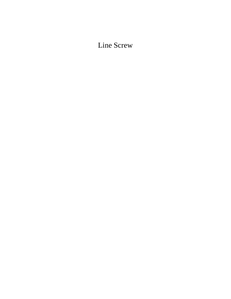Line Screw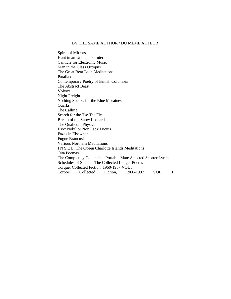# BY THE SAME AUTHOR / DU MEME AUTEUR

Spiral of Mirrors Hunt in an Unmapped Interior Canticle for Electronic Music Man in the Glass Octopus The Great Bear Lake Meditations Parallax Contemporary Poetry of British Columbia The Abstract Beast Volvox Night Freight Nothing Speaks for the Blue Moraines **Quarks** The Calling Search for the Tse-Tse Fly Breath of the Snow Leopard The Qualicum Physics Esox Nobilior Non Esox Lucius Fazes in Elsewhen Fugue Brancusi Various Northern Meditations I N S E L: The Queen Charlotte Islands Meditations Oita Poemas The Completely Collapsible Portable Man: Selected Shorter Lyrics Schedules of Silence: The Collected Longer Poems Torque: Collected Fiction, 1960-1987 VOL I Torpor: Collected Fiction, 1960-1987 VOL II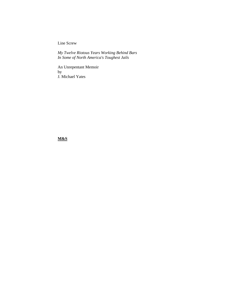Line Screw

*My Twelve Riotous Years Working Behind Bars In Some of North America's Toughest Jails* 

An Unrepentant Memoir by J. Michael Yates

**M&S**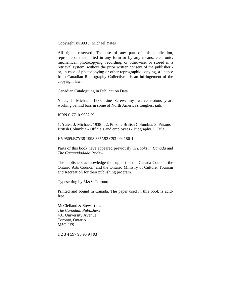Copyright ©1993 J. Michael Yates

All rights reserved. The use of any part of this publication, reproduced, transmitted in any form or by any means, electronic, mechanical, photocopying, recording, or otherwise, or stored in a retrieval system, without the prior written consent of the publisher or, in case of photocopying or other reprographic copying, a licence from Canadian Reprography Collective - is an infringement of the copyright law.

Canadian Cataloguing in Publication Data

Yates, J. Michael, 1938 Line Screw: my twelve riotous years working behind bars in some of North America's toughest jails

#### ISBN 0-7710-9082-X

1. Yates, J. Michael, 1938- . 2. Prisons-British Columbia. 3. Prisons - British Columbia - Officials and employees - Biography. I. Title.

HV9509.B7Y38 1993 365'.92 C93-094186-1

Parts of this book have appeared previously in *Books in Canada* and *The Cacanadadada Review.* 

The publishers acknowledge the support of the Canada Council, the Ontario Arts Council, and the Ontario Ministry of Culture, Tourism and Recreation for their publishing program.

Typesetting by M&S, Toronto.

Printed and bound in Canada. The paper used in this book is acidfree.

McClelland & Stewart Inc. *The Canadian Publishers*  481 University Avenue Toronto, Ontario M5G 2E9

1 2 3 4 597 96 95 94 93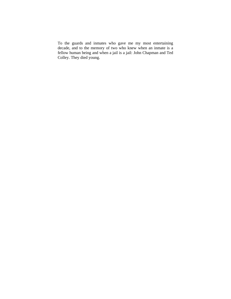To the guards and inmates who gave me my most entertaining decade, and to the memory of two who knew when an inmate is a fellow human being and when a jail is a jail: John Chapman and Ted Colley. They died young.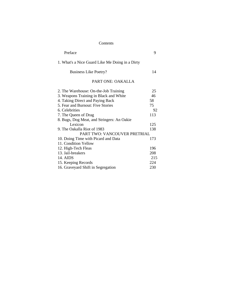# Contents

| Preface                                         | 9   |
|-------------------------------------------------|-----|
| 1. What's a Nice Guard Like Me Doing in a Dirty |     |
| <b>Business Like Poetry?</b>                    | 14  |
| <b>PART ONE: OAKALLA</b>                        |     |
| 2. The Warehouse: On-the-Job Training           | 25  |
| 3. Weapons Training in Black and White          | 46  |
| 4. Taking Direct and Paying Back                | 58  |
| 5. Fear and Burnout: Five Stories               | 75  |
| 6. Celebrities                                  | 92  |
| 7. The Queen of Drag                            | 113 |
| 8. Bugs, Dog Meat, and Stringers: An Oakie      |     |
| Lexicon                                         | 125 |
| 9. The Oakalla Riot of 1983                     | 138 |
| PART TWO: VANCOUVER PRETRIAL                    |     |
| 10. Doing Time with Picard and Data             | 173 |
| 11. Condition Yellow                            |     |
| 12. High-Tech Fleas                             | 196 |
| 13. Jail-breakers                               | 208 |
| 14. AIDS                                        | 215 |
| 15. Keeping Records                             | 224 |
| 16. Graveyard Shift in Segregation              | 230 |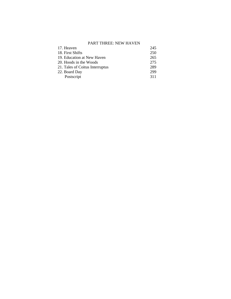# PART THREE: NEW HAVEN

| 17. Heaven                      | 245 |
|---------------------------------|-----|
| 18. First Shifts                | 250 |
| 19. Education at New Haven      | 265 |
| 20. Hoods in the Woods          | 275 |
| 21. Tales of Coitus Interruptus | 289 |
| 22. Board Day                   | 299 |
| Postscript                      | 311 |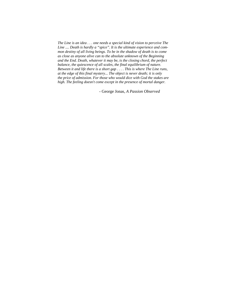*The Line is an idea . . . one needs a special kind of vision to perceive The Line .... Death is hardly a "spice". It is the ultimate experience and common destiny of all living beings. To be in the shadow of death is to come as close as anyone alive can to the absolute unknown of the Beginning and the End. Death, whatever it may be, is the closing chord, the perfect balance, the quiescence of all scales, the final equilibrium of nature. Between it and life there is a short gap . . . . This is where The Line runs, at the edge of this final mystery... The object is never death; it is only the price of admission. For those who would dice with God the stakes are high. The feeling doesn't come except in the presence of mortal danger.* 

- George Jonas*, A Passion Observed*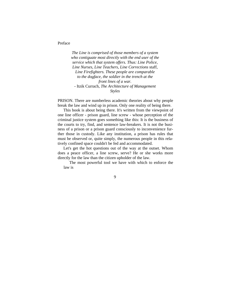Preface

 *The Line is comprised of those members of a system who contiguate most directly with the end user of the service which that system offers. Thus: Line Police, Line Nurses, Line Teachers, Line Corrections* staff, *Line Firefighters. These people are comparable to the dogface, the soldier in the trench at the front lines of a war.*  - Itzik Currach, *The Architecture of Management Styles* 

PRISON. There are numberless academic theories about why people break the law and wind up in prison. Only one reality of being there.

This book is about being there. It's written from the viewpoint of one line officer - prison guard, line screw - whose perception of the criminal justice system goes something like this: It is the business of the courts to try, find, and sentence law-breakers. It is not the business of a prison or a prison guard consciously to inconvenience further those in custody. Like any institution, a prison has rules that must be observed or, quite simply, the numerous people in this relatively confined space couldn't be fed and accommodated.

Let's get the hot questions out of the way at the outset. Whom does a peace officer, a line screw, serve? He or she works more directly for the law than the citizen upholder of the law.

The most powerful tool we have with which to enforce the law is

9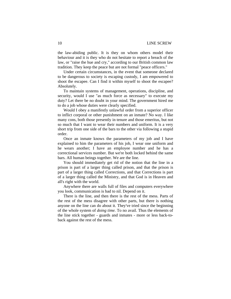## 10 LINE SCREW

the law-abiding public. It is they on whom others model their behaviour and it is they who do not hesitate to report a breach of the law, or "raise the hue and cry," according to our British common law tradition. They keep the peace but are not formal "peace officers."

Under certain circumstances, in the event that someone declared to be dangerous to society is escaping custody, I am empowered to shoot the escapee. Can I find it within myself to shoot the escapee? Absolutely.

To maintain systems of management, operations, discipline, and security, would I use "as much force as necessary" to execute my duty? Let there be no doubt in your mind. The government hired me to do a job whose duties were clearly specified.

Would I obey a manifestly unlawful order from a superior officer to inflict corporal or other punishment on an inmate? No way. I like many cons, both those presently in tenure and those emeritus, but not so much that I want to wear their numbers and uniform. It is a very short trip from one side of the bars to the other via following a stupid order.

Once an inmate knows the parameters of my job and I have explained to him the parameters of his job, I wear one uniform and he wears another; I have an employee number and he has a correctional services number. But we're both locked behind the same bars. All human beings together. We are the line.

You should immediately get rid of the notion that the line in a prison is part of a larger thing called prison, and that the prison is part of a larger thing called Corrections, and that Corrections is part of a larger thing called the Ministry, and that God is in Heaven and all's right with the world.

Anywhere there are walls full of files and computers everywhere you look, communication is bad to nil. Depend on it.

There is the line, and then there is the rest of the mess. Parts of the rest of the mess disagree with other parts, but there is nothing anyone on the line can do about it. They've tried since the beginning of the whole system of *doing time.* To no avail. Thus the elements of the line stick together - guards and inmates - more or less back-toback against the rest of the mess.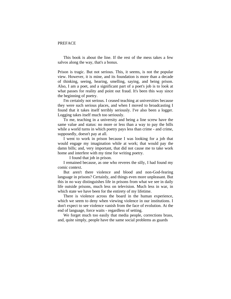# PREFACE

This book is about the line. If the rest of the mess takes a few salvos along the way, that's a bonus.

Prison is tragic. But not serious. This, it seems, is not the popular view. However, it is mine, and its foundation is more than a decade of thinking, seeing, hearing, smelling, saying, and being prison. Also, I am a poet, and a significant part of a poet's job is to look at what passes for reality and point out fraud. It's been this way since the beginning of poetry.

I'm certainly not serious. I ceased teaching at universities because they were such serious places, and when I moved to broadcasting I found that it takes itself terribly seriously. I've also been a logger. Logging takes itself much too seriously.

To me, teaching in a university and being a line screw have the same value and status: no more or less than a way to pay the bills while a world turns in which poetry pays less than crime - and crime, supposedly, doesn't pay at all.

I went to work in prison because I was looking for a job that would engage my imagination while at work; that would pay the damn bills; and, very important, that did not cause me to take work home and interfere with my time for writing poetry.

I found that job in prison.

I remained because, as one who reveres the silly, I had found my comic context.

But aren't there violence and blood and non-God-fearing language in prisons? Certainly, and things even more unpleasant. But this in no way distinguishes life in prisons from what we see in daily life outside prisons, much less on television. Much less in war, in which state we have been for the entirety of my lifetime.

There is violence across the board in the human experience, which we seem to deny when viewing violence in our institutions. I don't expect to see violence vanish from the face of evolution. At the end of language, force waits - regardless of setting.

We forget much too easily that media people, corrections brass, and, quite simply, people have the same social problems as guards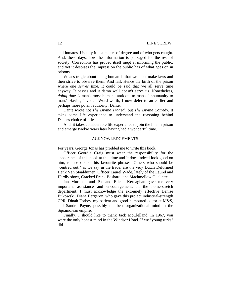and inmates. Usually it is a matter of degree and of who gets caught. And, these days, how the information is packaged for the rest of society. Corrections has proved itself inept at informing the public, and yet it despises the impression the public has of what goes on in prisons.

What's tragic about being human is that we must make laws and then strive to observe them. And fail. Hence the birth of the prison where one *serves time.* It could be said that we all serve time anyway. It passes and it damn well doesn't serve us. Nonetheless, *doing time is* man's most humane antidote to man's "inhumanity to man." Having invoked Wordsworth, I now defer to an earlier and perhaps more potent authority: Dante.

Dante wrote not *The Divine Tragedy* but *The Divine Comedy.* It takes some life experience to understand the reasoning behind Dante's choice of title.

And, it takes considerable life experience to join the line in prison and emerge twelve years later having had a wonderful time.

#### ACKNOWLEDGEMENTS

For years, George Jonas has prodded me to write this book.

Officer Geordie Craig must wear the responsibility for the appearance of this book at this time and it does indeed look good on him, to use one of his favourite phrases. Others who should be "centred out," as we say in the trade, are the very Dutch Deformed Henk Van Staalduinen, Officer Laurel Wade, lately of the Laurel and Hardly show, Cracked Frank Boshard, and Machmellow Ouellette.

Ian Murdoch and Pat and Eileen Kernaghan gave me very important assistance and encouragement. In the home-stretch department, I must acknowledge the extremely effective Denise Bukowski, Diane Bergeron, who gave this project industrial-strength CPR, Dinah Forbes, my patient and good-humoured editor at M&S, and Sandra Payne, possibly the best organizational mind in the Squamolean empire.

Finally, I should like to thank Jack McClelland. In 1967, you were the only honest mind in the Windsor Hotel. If we "young turks" did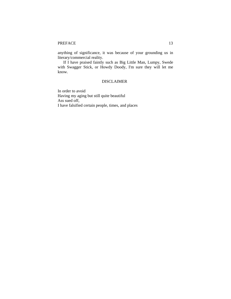anything of significance, it was because of your grounding us in literary/commercial reality.

If I have praised faintly such as Big Little Man, Lumpy, Swede with Swagger Stick, or Howdy Doody, I'm sure they will let me know.

# DISCLAIMER

In order to avoid Having my aging but still quite beautiful Ass sued off, I have falsified certain people, times, and places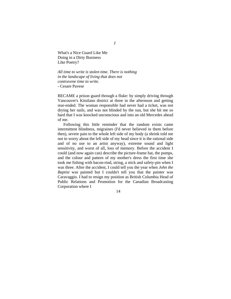What's a Nice Guard Like Me Doing in a Dirty Business Like Poetry?

*All time to write is stolen time. There is nothing in the landscape of living that does not contravene time to write.*  - Cesare Pavese

BECAME a prison guard through a fluke: by simply driving through Vancouver's Kitsilano district at three in the afternoon and getting rear-ended. The woman responsible had never had a ticket, was not drying her nails, and was not blinded by the sun, but she hit me so hard that I was knocked unconscious and into an old Mercedes ahead of me.

Following this little reminder that the random exists came intermittent blindness, migraines (I'd never believed in them before then), severe pain to the whole left side of my body (a shrink told me not to worry about the left side of my head since it is the rational side and of no use to an artist anyway), extreme sound and light sensitivity, and worst of all, loss of memory. Before the accident I could (and now again can) describe the picture-frame hat, the pumps, and the colour and pattern of my mother's dress the first time she took me fishing with bacon-rind, string, a stick and safety-pin when I was three. After the accident, I could tell you the year when *John the Baptist* was painted but I couldn't tell you that the painter was Caravaggio. I had to resign my position as British Columbia Head of Public Relations and Promotion for the Canadian Broadcasting Corporation where I

14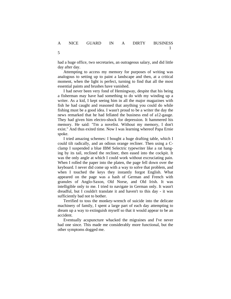5

had a huge office, two secretaries, an outrageous salary, and did little day after day.

Attempting to access my memory for purposes of writing was analogous to setting up to paint a landscape and then, at a critical moment, when the light is perfect, turning to find that all the most essential paints and brushes have vanished.

I had never been very fond of Hemingway, despite that his being a fisherman may have had something to do with my winding up a writer. As a kid, I kept seeing him in all the major magazines with fish he had caught and reasoned that anything you could do while fishing must be a good idea. I wasn't proud to be a writer the day the news remarked that he had fellated the business end of a12-gauge. They had given him electro-shock for depression. It hammered his memory. He said: "I'm a novelist. Without my memory, I don't exist." And thus exited time. Now I was learning whereof Papa Ernie spoke.

I tried amazing schemes: I bought a huge drafting table, which I could tilt radically, and an odious orange recliner. Then using a Cclamp I suspended a blue IBM Selectric typewriter like a rat hanging by its tail, reclined the recliner, then eased into the cockpit. It was the only angle at which I could work without excruciating pain. When I rolled the paper into the platen, the page fell down over the keyboard. I never did come up with a way to solve that problem, and when I touched the keys they instantly forgot English. What appeared on the page was a hash of German and French with granules of Anglo-Saxon, Old Norse, and Old Irish. It was intelligible only to me. I tried to navigate in German only. It wasn't dreadful, but I couldn't translate it and haven't to this day - it was sufficiently bad not to bother.

Terrified to toss the monkey-wrench of suicide into the delicate machinery of family, I spent a large part of each day attempting to dream up a way to extinguish myself so that it would appear to be an accident.

Eventually acupuncture whacked the migraines and I've never had one since. This made me considerably more functional, but the other symptoms dogged me.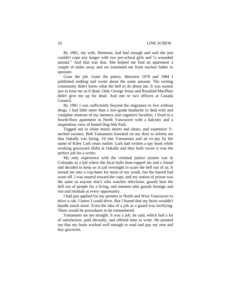By 1981, my wife, Hortense, had had enough and said she just couldn't cope any longer with two pre-school girls and "a wounded animal." And that was that. She helped me find an apartment a couple of miles away and we translated me from nuclear father to apostate.

Gone the job. Gone the poetry. Between 1978 and 1984 I published nothing and wrote about the same amount. The writing community didn't know what the hell to do about me. It was easiest just to treat me as if dead. Only George Jonas and Rosalind MacPhee didn't give me up for dead. And one or two officers at Canada Council.

By 1981 I was sufficiently beyond the migraines to live without drugs. I had little more than a low-grade headache to deal with and complete mistrust of my memory and cognitive faculties. I lived in a fourth-floor apartment in North Vancouver with a balcony and a stupendous view of famed Dog Shit Park.

Togged out in white tennis shorts and shoes, and expensive Vnecked sweater, Bob Yamamoto knocked on my door to inform me that Oakalla was hiring. I'd met Yamamoto and an ex-spy by the name of Kiley Lark years earlier. Lark had written a spy book while working graveyard shifts at Oakalla and they both swore it was the perfect job for a writer.

My only experience with the criminal justice system was in Colorado as a kid where the local bulls bum-rapped me and a friend and decided to keep us in jail overnight to scare the hell out of us. It turned me into a cop-hater for most of my youth, but the hatred had worn off. I was neutral toward the cops, and my notion of prison was the same as anyone else's who watches television: guards beat the hell out of people for a living, and inmates take guards hostage and riot and retaliate at every opportunity.

I had just applied for my permits in North and West Vancouver to drive a cab. I knew I could drive. But I feared that my brain wouldn't handle much more. Even the idea of a job as a guard was terrifying. There would be procedures to be remembered.

Yamamoto set me straight. It was a job, he said, which had a lot of satisfaction, paid decently, and offered time to write. He pointed out that my brain worked well enough to read and pay my rent and buy groceries.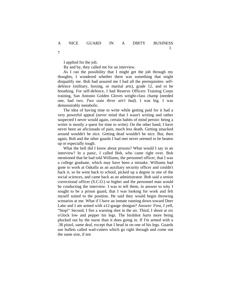I applied for the job.

7

By and by, they called me for an interview.

As I ran the possibility that I might get the job through my thoughts, I wondered whether there was something that might disqualify me. Bob had assured me I had all the prerequisites: selfdefence (military, boxing, or martial arts), grade 12, and to be breathing. For self-defence, I had Reserve Officers Training Corps training, San Antonio Golden Gloves weight-class champ (needed one, had two. *Two outa three ain't bad).* I was big. I was demonstrably metabolic.

The idea of having time to write while getting paid for it had a very powerful appeal (never mind that I wasn't writing and rather suspected I never would again, certain habits of mind persist: being a writer is mostly a quest for time to write). On the other hand, I have never been an aficionado of pain, much less death. Getting smacked around wouldn't be nice. Getting dead wouldn't be nice. But, then again, Bob and the other guards I had met never seemed to be beaten up or especially tough.

What the hell did I know about prisons? What would I say in an interview? In a panic, I called Bob, who came right over. Bob mentioned that he had told Williams, the personnel officer, that I was a college graduate, which may have been a mistake. Williams had gone to work at Oakalla as an auxiliary security officer and couldn't hack it, so he went back to school, picked up a degree in one of the social sciences, and came back as an administrator. Bob said a senior correctional officer (S.C.O.) or higher and the personnel man would be conducting the interview. I was to tell them, in answer to why I sought to be a prison guard, that I was looking for work and felt myself suited to the position. He said they would begin throwing scenarios at me. What if I have an inmate running down toward Deer Lake and I am armed with a12-gauge shotgun? Answer: First, I yell, "Stop!" Second, I fire a warning shot in the air. Third, I shoot at six o'clock low and pepper his legs. The birdshot hurts more being plucked out by the nurse than it does going in. If I'm armed with a .38 pistol, same deal, except that I bead in on one of his legs. Guards use bullets called wad-cutters which go right through and come out the same size, if not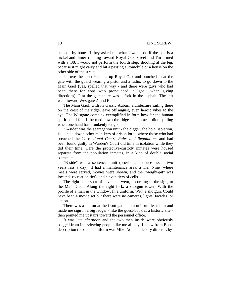stopped by bone. If they asked me what I would do if the con is a nickel-and-dimer running toward Royal Oak Street and I'm armed with a .38, I would not perform the fourth step, shooting at the leg, because it might carry and hit a passing automobile or a house on the other side of the street.

I drove the moo Yamaha up Royal Oak and punched in at the gate with the guard wearing a pistol and a radio, to go down to the Main Gaol (yes, spelled that way - and there were guys who had been there for eons who pronounced it "goal" when giving directions). Past the gate there was a fork in the asphalt. The left went toward Westgate A and B.

The Main Gaol, with its classic Auburn architecture sailing there on the crest of the ridge, gave off august, even heroic vibes to the eye. The Westgate complex exemplified in form how far the human spirit could fall. It bermed down the ridge like an accordion spilling when one hand has drunkenly let go.

"A-side" was the segregation unit - the digger, the hole, isolation, iso, and a dozen other monikers of prison lore - where those who had breached the *Correctional Centre Rules and Regulations* and had been found guilty in Warden's Court did time in isolation while they did their time. Here the protective-custody inmates were housed separate from the population inmates, in a kind of double social ostracism.

"B-side" was a sentenced unit (provincial: "deuce-less" - two years less a day). It had a maintenance area, a Tier Nine (where meals were served, movies were shown, and the "weight-pit" was located -recreation tier), and eleven tiers of cells.

The right-hand spur of pavement went, according to the sign, to the Main Gaol. Along the right fork, a shotgun tower. With the profile of a man in the window. In a uniform. With a shotgun. Could have been a movie set but there were no cameras, lights, facades, or action.

There was a button at the front gate and a uniform let me in and made me sign in a big ledger - like the guest-book at a historic site then pointed me upstairs toward the personnel office.

It was late afternoon and the two men inside were obviously bagged from interviewing people like me all day. I knew from Bob's description the one in uniform was Mike Adler, a deputy director, by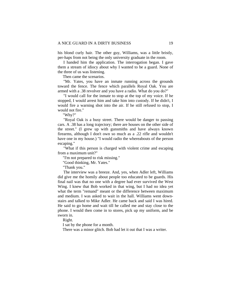his blond curly hair. The other guy, Williams, was a little bristly, per-haps from not being the only university graduate in the room.

I handed him the application. The interrogation began. I gave them a stream of idiocy about why I wanted to be a guard. None of the three of us was listening.

Then came the scenarios.

"Mr. Yates, you have an inmate running across the grounds toward the fence. The fence which parallels Royal Oak. You are armed with a .38 revolver and you have a radio. What do you do?"

"I would call for the inmate to stop at the top of my voice. If he stopped, I would arrest him and take him into custody. If he didn't, I would fire a warning shot into the air. If he still refused to stop, I would not fire."

"Why?"

"Royal Oak is a busy street. There would be danger to passing cars. A .38 has a long trajectory; there are houses on the other side of the street." (I grew up with gunsmiths and have always known firearms, although I don't own so much as a .22 rifle and wouldn't have one in my house.) "I would radio the whereabouts of the person escaping."

"What if this person is charged with violent crime and escaping from a maximum unit?"

"I'm not prepared to risk missing."

"Good thinking, Mr. Yates."

"Thank you."

The interview was a breeze. And, yes, when Adler left, Williams did give me the homily about people too educated to be guards. His final nail was that no one with a degree had ever survived the West Wing. I knew that Bob worked in that wing, but I had no idea yet what the term "remand" meant or the difference between maximum and medium. I was asked to wait in the hall. Williams went downstairs and talked to Mike Adler. He came back and said I was hired. He said to go home and wait till he called me and stay close to the phone. I would then come in to stores, pick up my uniform, and be sworn in.

Right.

I sat by the phone for a month.

There was a minor glitch. Bob had let it out that I was a writer.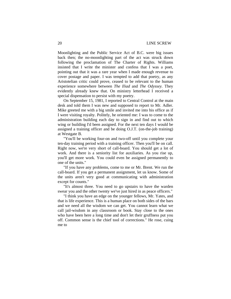Moonlighting and the Public Service Act of B.C. were big issues back then; the no-moonlighting part of the act was struck down following the proclamation of The Charter of Rights. Williams insisted that I write the minister and confess that I was a poet, pointing out that it was a rare year when I made enough revenue to cover postage and paper. I was tempted to add that poetry, as any Aristotelian critic could prove, ceased to be relevant to the human experience somewhere between *The Iliad* and *The Odyssey.* They evidently already knew that. On ministry letterhead I received a special dispensation to persist with my poetry.

On September 15, 1981, I reported to Central Control at the main desk and told them I was new and supposed to report to Mr. Adler. Mike greeted me with a big smile and invited me into his office as if I were visiting royalty. Politely, he oriented me: I was to come to the administration building each day to sign in and find out to which wing or building I'd been assigned. For the next ten days I would be assigned a training officer and be doing O.J.T. (on-the-job training) at Westgate B.

"You'll be working four-on and two-off until you complete your ten-day training period with a training officer. Then you'll be on call. Right now, we're very short of call-board. You should get a lot of work. And there is a seniority list for auxiliaries. As you rise up, you'll get more work. You could even be assigned permanently to one of the units."

"If you have any problems, come to me or Mr. Brent. We run the call-board. If you get a permanent assignment, let us know. Some of the units aren't very good at communicating with administration except for counts."

"It's almost three. You need to go upstairs to have the warden swear you and the other twenty we've just hired in as peace officers."

"I think you have an edge on the younger fellows, Mr. Yates, and that is life experience. This is a human place on both sides of the bars and we need all the wisdom we can get. You cannot learn what we call jail-wisdom in any classroom or book. Stay close to the ones who have been here a long time and don't let their gruffness put you off. Common sense is the chief tool of corrections." He rose, cuing me to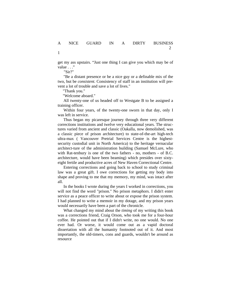get my ass upstairs. "Just one thing I can give you which may be of value . . ."

"Sir?"

"Be a distant presence or be a nice guy or a definable mix of the two, but be *consistent.* Consistency of staff in an institution will prevent a lot of trouble and save a lot of lives."

"Thank you."

"Welcome aboard."

All twenty-one of us headed off to Westgate B to be assigned a training officer.

Within four years, of the twenty-one sworn in that day, only I was left in service.

Thus began my picaresque journey through three very different corrections institutions and twelve very educational years. The structures varied from ancient and classic (Oakalla, now demolished, was a classic piece of prison architecture) to state-of-the-art high-tech ultra-max ( Vancouver Pretrial Services Centre is the highestsecurity custodial unit in North America) to the heritage vernacular architect-ture of the administration building (Samuel McLure, who with Rat-tenbury is one of the two fathers - no, mothers - of B.C. architecture, would have been beaming) which presides over sixtyeight fertile and productive acres of New Haven Correctional Centre.

Entering corrections and going back to school to study criminal law was a great gift. I owe corrections for getting my body into shape and proving to me that my memory, my mind, was intact after all.

In the books I wrote during the years I worked in corrections, you will not find the word "prison." No prison metaphors. I didn't enter service as a peace officer to write about or expose the prison system. I had planned to write a memoir in my dotage, and my prison years would necessarily have been a part of the chronicle.

What changed my mind about the *timing* of my writing this book was a corrections friend, Craig Orson, who took me for a four-hour coffee. He pointed out that if I didn't write, no one would. No one ever had. Or worse, it would come out as a vapid doctoral dissertation with all the humanity footnoted out of it. And most importantly, the old-timers, cons and guards, wouldn't be around as resource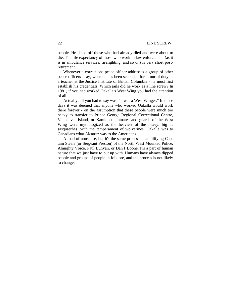people. He listed off those who had already died and were about to die. The life expectancy of those who work in law enforcement (as it is in ambulance services, firefighting, and so on) is very short postretirement.

Whenever a corrections peace officer addresses a group of other peace officers - say, when he has been seconded for a tour of duty as a teacher at the Justice Institute of British Columbia - he must first establish his credentials. Which jails did he work as a line screw? In 1981, if you had worked Oakalla's West Wing you had the attention of all.

Actually, all you had to say was, " I was a West Winger." In those days it was deemed that anyone who worked Oakalla would work there forever - on the assumption that these people were much too heavy to transfer to Prince George Regional Correctional Centre, Vancouver Island, or Kamloops. Inmates and guards of the West Wing were mythologized as the heaviest of the heavy, big as sasquatches, with the temperament of wolverines. Oakalla was to Canadians what Alcatraz was to the Americans.

A load of nonsense, but it's the same process as amplifying Captain Steele (or Sergeant Preston) of the North West Mounted Police, Almighty Voice, Paul Bunyan, or Dan'1 Boone. It's a part of human nature that we just have to put up with. Humans have always dipped people and groups of people in folklore, and the process is not likely to change.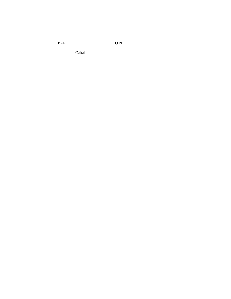PART O N E

Oakalla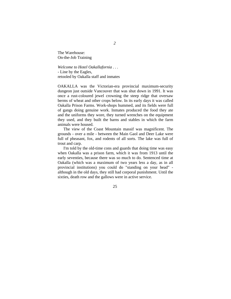The Warehouse: On-the-Job Training

*Welcome to Hotel Oakallafornia . . .*  - Line by the Eagles, retooled by Oakalla staff and inmates

OAKALLA was the Victorian-era provincial maximum-security dungeon just outside Vancouver that was shut down in 1991. It was once a rust-coloured jewel crowning the steep ridge that oversaw berms of wheat and other crops below. In its early days it was called Oakalla Prison Farms. Work-shops hummed, and its fields were full of gangs doing genuine work. Inmates produced the food they ate and the uniforms they wore, they turned wrenches on the equipment they used, and they built the barns and stables in which the farm animals were housed.

The view of the Coast Mountain massif was magnificent. The grounds - over a mile - between the Main Gaol and Deer Lake were full of pheasant, fox, and rodents of all sorts. The lake was full of trout and carp.

I'm told by the old-time cons and guards that doing time was easy when Oakalla was a prison farm, which it was from 1913 until the early seventies, because there was so much to do. Sentenced time at Oakalla (which was a maximum of two years less a day, as in all provincial institutions) you could do "standing on your head" although in the old days, they still had corporal punishment. Until the sixties, death row and the gallows were in active service.

25

## *2*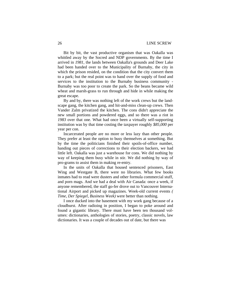Bit by bit, the vast productive organism that was Oakalla was whittled away by the Socred and NDP governments. By the time I arrived in *1981,* the lands between Oakalla's grounds and Deer Lake had been handed over to the Municipality of Burnaby, the city in which the prison resided, on the condition that the city convert them to a park; but the real point was to hand over the supply of food and services to the institution to the Burnaby business community - Burnaby was too poor to create the park. So the beans became wild wheat and marsh-grass to run through and hide in while making the great escape.

By and by, there was nothing left of the work crews but the landscape gang, the kitchen gang, and hit-and-miss clean-up crews. Then Vander Zalm privatized the kitchen. The cons didn't appreciate the new small portions and powdered eggs, and so there was a riot in *1983* over that one. What had once been a virtually self-supporting institution was by that time costing the taxpayer roughly *\$85,000* per year per con.

Incarcerated people are no more or less lazy than other people. They prefer at least the option to busy themselves at something. But by the time the politicians finished their spoils-of-office number, handing out pieces of corrections to their election backers, we had little left. Oakalla was just a warehouse for cons. We did nothing by way of keeping them busy while in stir. We did nothing by way of pro-grams to assist them in making re-entry.

In the units of Oakalla that housed sentenced prisoners, East Wing and Westgate B, there were no libraries. What few books inmates had to read were dusters and other formula commercial stuff, and porn mags. And we had a deal with Air Canada: once a week, if anyone remembered, the staff go-fer drove out to Vancouver International Airport and picked up magazines. Week-old current events *( Time, Der Spiegel, Business Week)* were better than nothing.

I once ducked into the basement with my work gang because of a cloudburst. After radioing in position, I began to poke around and found a gigantic library. There must have been ten thousand volumes: dictionaries, anthologies of stories, poetry, classic novels, law dictionaries. It was a couple of decades out of date, but there was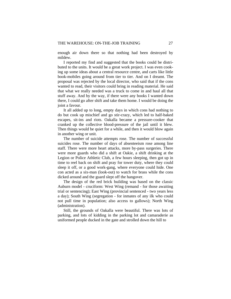enough air down there so that nothing had been destroyed by mildew.

I reported my find and suggested that the books could be distributed to the units. It would be a great work project. I was even cooking up some ideas about a central resource centre, and carts like little book-mobiles going around from tier to tier. And on I dreamt. The proposal was rejected by the local director, who said that if the cons wanted to read, their visitors could bring in reading material. He said that what we really needed was a truck to come in and haul all that stuff away. And by the way, if there were any books I wanted down there, I could go after shift and take them home. I would be doing the joint a favour.

It all added up to long, empty days in which cons had nothing to do but cook up mischief and go stir-crazy, which led to half-baked escapes, sit-ins and riots. Oakalla became a pressure-cooker that cranked up the collective blood-pressure of the jail until it blew. Then things would be quiet for a while, and then it would blow again in another wing or unit.

The number of suicide attempts rose. The number of successful suicides rose. The number of days of absenteeism rose among line staff. There were more heart attacks, more by-pass surgeries. There were more guards who did a shift at Oakie, a shift drinking at the Legion or Police Athletic Club, a few hours sleeping, then got up in time to reel back on shift and pray for tower duty, where they could sleep it off, or a good work-gang, where everyone could hide. One con acted as a six-man (look-out) to watch for brass while the cons dicked around and the guard slept off the hangover.

The design of the red brick building was based on the classic Auburn model - cruciform: West Wing (remand - for those awaiting trial or sentencing); East Wing (provincial sentenced - two years less a day); South Wing (segregation - for inmates of any ilk who could not pull time in population; also access to gallows); North Wing (administration).

Still, the grounds of Oakalla were beautiful. There was lots of parking, and lots of kidding in the parking lot and camaraderie as uniformed people ducked in the gate and strolled down the hill to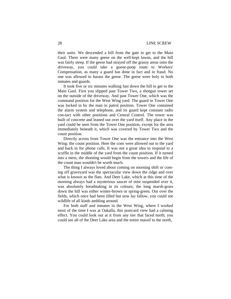their units. We descended a hill from the gate to get to the Main Gaol. There were many geese on the well-kept lawns, and the hill was fairly steep. If the geese had strayed off the grassy areas onto the driveway, you could take a goose-poop route to Workers' Compensation, as many a guard has done in fact and in fraud. No one was allowed to harass the geese. The geese were holy to both inmates and guards.

It took five or six minutes walking fast down the hill to get to the Main Gaol. First you slipped past Tower Two, a shotgun tower set on the outside of the driveway. And past Tower One, which was the command position for the West Wing yard. The guard in Tower One was locked in by the man in patrol position. Tower One contained the alarm system and telephone, and its guard kept constant radio con-tact with other positions and Central Control. The tower was built of concrete and leaned out over the yard itself. Any place in the yard could be seen from the Tower One position, except for the area immediately beneath it, which was covered by Tower Two and the count position.

Directly across from Tower One was the entrance into the West Wing: the count position. Here the cons were allowed out to the yard and back in for phone calls. It was not a great idea to respond to a scuffle in the middle of the yard from the count position. If it turned into a mess, the shooting would begin from the towers and the life of the count man wouldn't be worth much.

The thing I always loved about coming on morning shift or coming off graveyard was the spectacular view down the ridge and over what is known as the flats. And Deer Lake, which at this time of the morning always had a mysterious saucer of mist suspended over it, was absolutely breathtaking in its colours; the long marsh-grass down the hill was either winter-brown or spring-green. Out over the fields, which once had been tilled but now lay fallow, you could see wildlife of all kinds ambling around.

For both staff and inmates in the West Wing, where I worked most of the time I was at Oakalla, this postcard view had a calming effect. You could look out at it from any tier that faced north; you could see all of the Deer Lake area and the entire massif to the north,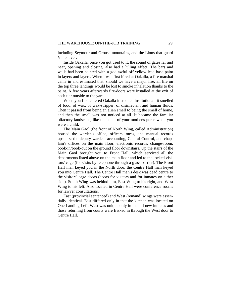including Seymour and Grouse mountains, and the Lions that guard Vancouver.

Inside Oakalla, once you got used to it, the sound of gates far and near, opening and closing, also had a lulling effect. The bars and walls had been painted with a god-awful off-yellow lead-base paint in layers and layers. When I was first hired at Oakalla, a fire marshal came in and estimated that, should we have a major fire, all life on the top three landings would be lost to smoke inhalation thanks to the paint. A few years afterwards fire-doors were installed at the exit of each tier outside to the yard.

When you first entered Oakalla it smelled institutional: it smelled of food, of wax, of wax-stripper, of disinfectant and human fluids. Then it passed from being an alien smell to being the smell of home, and then the smell was not noticed at all. It became the familiar olfactory landscape, like the smell of your mother's purse when you were a child.

The Main Gaol (the front of North Wing, called Administration) housed the warden's office, officers' mess, and manual records upstairs; the deputy warden, accounting, Central Control, and chaplain's offices on the main floor; electronic records, change-room, book-in/book-out on the ground floor downstairs. Up the stairs of the Main Gaol brought you to Front Hall, which serviced all the departments listed above on the main floor and led to the locked visitors' cage (for visits by telephone through a glass barrier). The Front Hall man keyed you in the North door, the Centre Hall man keyed you into Centre Hall. The Centre Hall man's desk was dead centre to the visitors' cage doors (doors for visitors and for inmates on either side), South Wing was behind him, East Wing to his right, and West Wing to his left. Also located in Centre Hall were conference rooms for lawyer consultations.

East (provincial sentenced) and West (remand) wings were essentially identical. East differed only in that the kitchen was located on One Landing Left. West was unique only in that all new inmates and those returning from courts were frisked in through the West door to Centre Hall.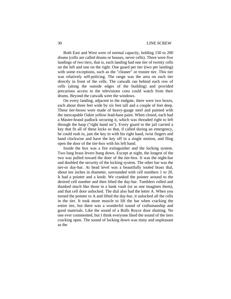# 30 LINE SCREW

Both East and West were of normal capacity, holding 150 to 200 drums (cells are called drums or houses, never cells). There were five landings of two tiers, that is, each landing had one tier of twenty cells on the left and one on the right. One guard per tier (two per landing) with some exceptions, such as the "cleaner" or trustee tier. This tier was relatively self-policing. The range was the area on each tier directly in front of the cells. The catwalk ran behind each row of cells (along the outside edges of the building) and provided precarious access to the televisions cons could watch from their drums. Beyond the catwalk were the windows.

On every landing, adjacent to the endgate, there were two boxes, each about three feet wide by six feet tall and a couple of feet deep. These tier-boxes were made of heavy-guage steel and painted with the inescapable Oakie yellow lead-base paint. When closed, each had a Master-brand padlock securing it, which was threaded right to left through the hasp ("right hand on"). Every guard in the jail carried a key that fit all of these locks so that, if called during an emergency, he could rush in, jam the key in with his right hand, twist fingers and hand clockwise and have the key off in a single motion, and fling open the door of the tier-box with his left hand.

Inside the box was a fire extinguisher and the locking system. Two long brass levers hung down. Except at night, the longest of the two was pulled toward the door of the tier-box. It was the night-bar and doubled the security of the locking system. The other bar was the tier-or day-bar. At head level was a beautifully tooled brass dial, about ten inches in diameter, surrounded with cell numbers 1 to 20. It had a pointer and a knob. We cranked the pointer around to the desired cell number and then lifted the day-bar. Tumblers rolled and thunked much like those in a bank vault (or as one imagines them), and that cell door unlocked. The dial also had the letter A. When you turned the pointer to A and lifted the day-bar, it unlocked all the cells in the tier. It took more muscle to lift the bar when cracking the entire tier, but there was a wonderful sound of craftsmanship and good materials. Like the sound of a Rolls Royce door shutting. No one ever commented, but I think everyone liked the sound of the tiers cracking open. The sound of locking down was tinny and unpleasant as the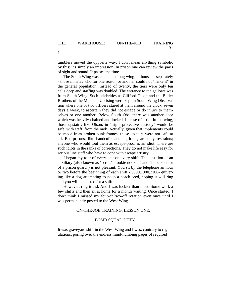tumblers moved the opposite way. I don't mean anything symbolic by this; it's simply an impression. In prison one can review the parts of sight and sound. It passes the time.

The South Wing was called "the bug wing: 'It housed - separately - those inmates who for one reason or another could not "make it" in the general population. Instead of twenty, the tiers were only ten cells deep and staffing was doubled. The entrance to the gallows was from South Wing. Such celebrities as Clifford Olson and the Butler Brothers of the Montana Uprising were kept in South Wing Observation where one or two officers stared at them around the clock, seven days a week, to ascertain they did not escape or do injury to themselves or one another. Below South Obs, there was another door which was heavily chained and locked. In case of a riot in the wing, those upstairs, like Olson, in "triple protective custody" would be safe, with staff, from the mob. Actually, given that implements could be made from broken bunk-frames, those upstairs were not safe at all. But prisons, like handcuffs and leg-irons, are only restraints; anyone who would tout them as escape-proof is an idiot. There are such idiots in the ranks of corrections. They do not make life easy for serious line staff who have to cope with escape artistry.

I began my tour of every unit on every shift. The situation of an auxiliary (also known as "scrot," "rookie nookie," and "impersonator of a prison guard") is not pleasant. You sit by the telephone an hour or two before the beginning of each shift - 0500,1300,2100- quivering like a dog attempting to poop a peach seed, hoping it will ring and you will be posted for a shift.

However, ring it did. And I was luckier than most. Some work a few shifts and then sit at home for a month waiting. Once started, I don't think I missed my four-on/two-off rotation even once until I was permanently posted to the West Wing.

### ON-THE-JOB TRAINING, LESSON ONE:

# BOMB SQUAD DUTY

It was graveyard shift in the West Wing and I was, contrary to regulations, poring over the endless mind-numbing pages of required

1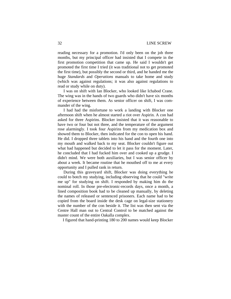reading necessary for a promotion. I'd only been on the job three months, but my principal officer had insisted that I compete in the first promotion competition that came up. He said I wouldn't get promoted the first time I tried (it was traditional not to get promoted the first time), but possibly the second or third, and he handed me the huge *Standards* and *Operations* manuals to take home and study (which was against regulations; it was also against regulations to read or study while on duty).

I was on shift with Ian Blocker, who looked like Ichabod Crane. The wing was in the hands of two guards who didn't have six months of experience between them. As senior officer on shift, I was commander of the wing.

I had had the misfortune to work a landing with Blocker one afternoon shift when he almost started a riot over Aspirin. A con had asked for three Aspirins. Blocker insisted that it was reasonable to have two or four but not three, and the temperature of the argument rose alarmingly. I took four Aspirins from my medication box and showed them to Blocker, then indicated for the con to open his hand. He did. I dropped three tablets into his hand and the fourth one into my mouth and walked back to my seat. Blocker couldn't figure out what had happened but decided to let it pass for the moment. Later, he concluded that I had fucked him over and cooked up a grudge. I didn't mind. We were both auxiliaries, but I was senior officer by about a week. It became routine that he mouthed off to me at every opportunity and I pulled rank in return.

During this graveyard shift, Blocker was doing everything he could to botch my studying, including observing that he could "write me up" for studying on shift. I responded by making him do the nominal roll. In those pre-electronic-records days, once a month, a lined composition book had to be cleaned up manually, by deleting the names of released or sentenced prisoners. Each name had to be copied from the board inside the desk cage on legal-size stationery with the number of the con beside it. The list was then sent via the Centre Hall man out to Central Control to be matched against the master count of the entire Oakalla complex.

I figured that hand-printing 180 to 200 names would keep Blocker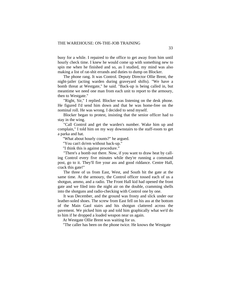busy for a while. I repaired to the office to get away from him until hourly check time. I knew he would come up with something new to spin me when he finished and so, as I studied, my mind was also making a list of rat-shit errands and duties to dump on Blocker.

The phone rang. It was Control. Deputy Director Ollie Brent, the night-jailer (acting warden during graveyard shifts). "We have a bomb threat at Westgate," he said. "Back-up is being called in, but meantime we need one man from each unit to report to the armoury, then to Westgate.''

"Right, Sir," I replied. Blocker was listening on the desk phone. He figured I'd send him down and that he was home-free on the nominal roll. He was wrong. I decided to send myself.

Blocker began to protest, insisting that the senior officer had to stay in the wing.

"Call Control and get the warden's number. Wake him up and complain," I told him on my way downstairs to the staff-room to get a parka and hat.

"What about hourly counts?" he argued.

"You can't do'em without back-up."

"I think this is against procedure."

"There's a bomb out there. Now, if you want to draw heat by calling Control every five minutes while they're running a command post, go to it. They'll fire your ass and good riddance. Centre Hall, crack this gate!"

The three of us from East, West, and South hit the gate at the same time. At the armoury, the Control officer tossed each of us a shotgun, ammo, and a radio. The Front Hall kid had opened the front gate and we filed into the night air on the double, cramming shells into the shotguns and radio-checking with Control one by one.

It was December, and the ground was frosty and slick under our leather-soled shoes. The screw from East fell on his ass at the bottom of the Main Gaol stairs and his shotgun clattered across the pavement. We picked him up and told him graphically what we'd do to him if he dropped a loaded weapon near us again.

At Westgate Ollie Brent was waiting for us.

"The caller has been on the phone twice. He knows the Westgate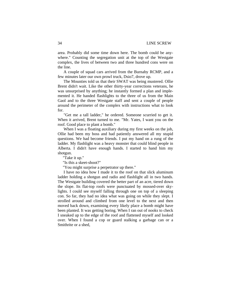area. Probably did some time down here. The bomb could be anywhere." Counting the segregation unit at the top of the Westgate complex, the lives of between two and three hundred cons were on the line.

A couple of squad cars arrived from the Burnaby RCMP, and a few minutes later our own prowl truck, Dsio7, drove up.

The Mounties told us that their SWAT was being mustered. Ollie Brent didn't wait. Like the other thirty-year corrections veterans, he was unsurprised by anything; he instantly formed a plan and implemented it. He handed flashlights to the three of us from the Main Gaol and to the three Westgate staff and sent a couple of people around the perimeter of the complex with instructions what to look for.

"Get me a tall ladder," he ordered. Someone scurried to get it. When it arrived, Brent turned to me. "Mr. Yates, I want you on the roof. Good place to plant a bomb."

When I was a floating auxiliary during my first weeks on the job, Ollie had been my boss and had patiently answered all my stupid questions. We had become friends. I put my hand on a rung of the ladder. My flashlight was a heavy monster that could blind people in Alberta. I didn't have enough hands. I started to hand him my shotgun.

"Take it up."

"Is this a skeet-shoot?"

"You might surprise a perpetrator up there."

I have no idea how I made it to the roof on that slick aluminum ladder holding a shotgun and radio and flashlight all in two hands. The Westgate building covered the better part of an acre, tiered down the slope. Its flat-top roofs were punctuated by mossed-over skylights. I could see myself falling through one on top of a sleeping con. So far, they had no idea what was going on while they slept. I strolled around and climbed from one level to the next and then moved back down, examining every likely place a bomb might have been planted. It was getting boring. When I ran out of nooks to check I sneaked up to the edge of the roof and flattened myself and looked over. When I found a cop or guard stalking a garbage can or a Smithrite or a shed,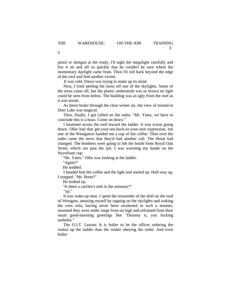pistol or shotgun at the ready, I'd sight the megalight carefully and fire it on and off so quickly that he couldn't be sure where the momentary daylight came from. Then I'd roll back beyond the edge of the roof and find another victim.

It was cold. Dawn was trying to make up its mind.

Next, I tried peeling the moss off one of the skylights. Some of the moss came off, but the plastic underneath was so brown no light could be seen from below. The building was as ugly from the roof as it was inside.

As dawn broke through the clear winter air, the view of misted-in Deer Lake was magical.

Then, finally, I got called on the radio. "Mr. Yates, we have to conclude this is a hoax. Come on down."

I hastened across the roof toward the ladder. It was worse going down. Ollie had that get-your-ass-back-to-your-unit expression, but one of the Westgaters handed me a cup of hot coffee. Then over the radio came the news that they'd had another call. The threat had changed. The bombers were going to lob the bomb from Royal Oak Street, which ran past the jail. I was warming my hands on the Styrofoam cup.

"Mr. Yates." Ollie was looking at the ladder.

"Again?"

He nodded.

I handed him the coffee and the light and started up. Half-way up, I stopped. "Mr. Brent?"

He looked up.

"Is there a catcher's mitt in the armoury?"

"up."

It was wake-up time. I spent the remainder of the shift on the roof of Westgate, amusing myself by rapping on the skylights and waking the cons who, having never been awakened in such a manner, assumed they were under siege from on high and refrained from their usual good-morning greetings like "Dummy it, you fucking assholes."

The O.J.T. Lesson: It is holier to be the officer ordering the rookie up the ladder than the rookie obeying the order. And even holier

5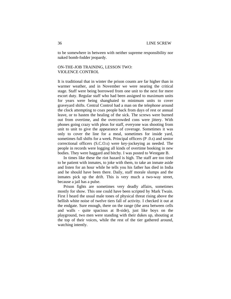to be somewhere in between with neither supreme responsibility nor naked bomb-fodder jeopardy.

# ON-THE-JOB TRAINING, LESSON TWO: VIOLENCE CONTROL

It is traditional that in winter the prison counts are far higher than in warmer weather, and in November we were nearing the critical stage. Staff were being borrowed from one unit to the next for mere escort duty. Regular staff who had been assigned to maximum units for years were being shanghaied to minimum units to cover graveyard shifts. Central Control had a man on the telephone around the clock attempting to coax people back from days of rest or annual leave, or to hasten the healing of the sick. The screws were burned out from overtime, and the overcrowded cons were jittery. With phones going crazy with pleas for staff, everyone was shooting from unit to unit to give the appearance of coverage. Sometimes it was only to cover the line for a meal, sometimes for inside yard, sometimes full shifts for a week. Principal officers (P .0.s) and senior correctional officers (S.C.O.s) were key-jockeying as needed. The people in records were logging all kinds of overtime booking in new bodies. They were haggard and bitchy. I was posted to Westgate B.

In times like these the riot hazard is high. The staff are too tired to be patient with inmates, to joke with them, to take an inmate aside and listen for an hour while he tells you his father has died in India and he should have been there. Daily, staff morale slumps and the inmates pick up the drift. This is very much a two-way street, because a jail has a pulse.

Prison fights are sometimes very deadly affairs, sometimes mostly for show. This one could have been scripted by Mark Twain. First I heard the usual male tones of physical threat rising above the hellish white noise of twelve tiers fall of activity. I checked it out at the endgate. Sure enough, there on the range (the area between cells and walls - quite spacious at B-side), just like boys on the playground, two men were standing with their dukes up, shouting at the top of their voices, while the rest of the tier gathered around, watching intently.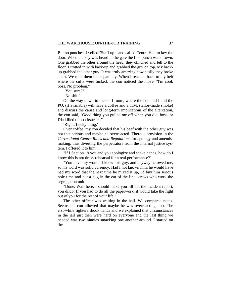But no punches. I yelled "Staff up!" and called Centre Hall to key the door. When the key was heard in the gate the first punch was thrown. One grabbed the other around the head, they clinched and fell to the floor. I trotted in with back-up and grabbed the guy on top. My backup grabbed the other guy. It was truly amazing how easily they broke apart. We took them out separately. When I reached back to my belt where the cuffs were tucked, the con noticed the move. "I'm cool, boss. No problem."

"You sure?"

"No shit."

On the way down to the staff room, where the con and I and the PO. (if available) will have a coffee and a T.M. (tailor-made smoke) and discuss the cause and long-term implications of the altercation, the con said, "Good thing you pulled me off when you did, boss, or I'da killed the cocksucker."

"Right. Lucky thing."

Over coffee, my con decided that his beef with the other guy was not that serious and maybe he overreacted. There is provision in the *Correctional Centre Rules and Regulations* for apology and amendsmaking, thus diverting the perpetrators from the internal justice system. I offered it to him.

"If I Section 19 you and you apologize and shake hands, how do I know this is not dress-rehearsal for a real performance?"

"You have my word." I knew this guy, and anyway he owed me, so his word was solid currency. Had I not known him, he would have had my word that the next time he mixed it up, I'd buy him serious hole-time and put a bug in the ear of the line screws who work the segregation unit.

"Done. Wait here. I should make you fill out the incident report, you dildo. If you had to do all the paperwork, it would take the fight out of you for the rest of your life."

The other officer was waiting in the hall. We compared notes. Seems his con allowed that maybe he was overreacting, too. The erst-while fighters shook hands and we explained that circumstances in the jail just then were hard on everyone and the last thing we needed was two ninnies smacking one another around. I started on the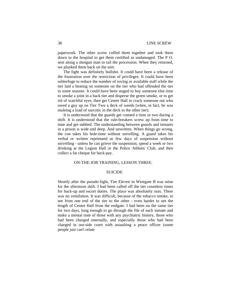paperwork. The other screw cuffed them together and took them down to the hospital to get them certified as undamaged. The P O. sent along a shotgun man to tail the procession. When they returned, we plunked them back on the unit.

The fight was definitely bullshit. It could have been a release of the frustration over the restriction of privileges. It could have been subterfuge to reduce the number of roving or available staff while the tier laid a beating on someone on the tier who had offended the tier in some manner. It could have been staged to buy someone else time to smoke a joint in a back tier and disperse the green smoke, or to get rid of watchful eyes, then get Centre Hall to crack someone out who owed a guy up on Tier Two a deck of weeds (when, in fact, he was muleing a load of narcotic in the deck to the other tier).

It is understood that the guards get conned a time or two during a shift. It is understood that the rule-breakers screw up from time to time and get nabbed. The understanding between guards and inmates in a prison is wide and deep. And unwritten. When things go wrong, the con takes his hole-time without snivelling. A guard takes his verbal or written reprimand or few days of suspension without snivelling - unless he can grieve the suspension, spend a week or two drinking at the Legion Hall or the Police Athletic Club, and then collect a fat cheque for back-pay.

#### ON-THE-JOB TRAINING, LESSON THREE:

#### **SUICIDE**

Shortly after the pseudo-fight, Tier Eleven in Westgate B was mine for the afternoon shift. I had been called off the tier countless times for back-up and escort duties. The place was absolutely nuts. There was no ventilation. It was difficult, because of the tobacco smoke, to see from one end of the tier to the other - even harder to see the length of Centre Hall from the endgate. I had been on the same tier for two days, long enough to go through the file of each inmate and make a mental note of those with any psychiatric history, those who had been charged internally, and especially those who had been charged in out-side court with assaulting a peace officer (some people just can't relate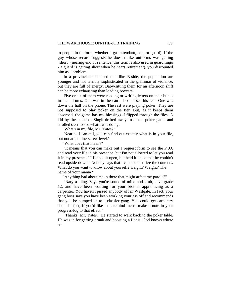to people in uniform, whether a gas attendant, cop, or guard). If the guy whose record suggests he doesn't like uniforms was getting "short" (nearing end of sentence; this term is also used in guard lingo - a guard is getting short when he nears retirement), you discounted him as a problem.

In a provincial sentenced unit like B-side, the population are younger and not terribly sophisticated in the grammar of violence, but they are full of energy. Baby-sitting them for an afternoon shift can be more exhausting than loading boxcars.

Five or six of them were reading or writing letters on their bunks in their drums. One was in the can - I could see his feet. One was down the hall on the phone. The rest were playing poker. They are not supposed to play poker on the tier. But, as it keeps them absorbed, the game has my blessings. I flipped through the files. A kid by the name of Singh drifted away from the poker game and strolled over to see what I was doing.

"What's in my file, Mr. Yates?"

'Near as I can tell, you can find out exactly what is in your file, but not at the line-screw level."

"What does that mean?"

 "It means that you can make out a request form to see the P .O. and read your file in his presence, but I'm not allowed to let you read it in my presence." I flipped it open, but held it up so that he couldn't read upside-down. "Nobody says that I can't summarize the contents. What do you want to know about yourself? Height? Weight? The name of your mama?"

"Anything bad about me in there that might affect my parole?"

"Nary a thing. Says you're sound of mind and limb, have grade 12, and have been working for your brother apprenticing as a carpenter. You haven't pissed anybody off in Westgate. In fact, your gang boss says you have been working your ass off and recommends that you be bumped up to a classier gang. You could get carpentry shop. In fact, if you'd like that, remind me to make a note in your progress-log to that effect."

"Thanks, Mr. Yates.'' He started to walk back to the poker table. He was in for getting drunk and boosting a Lotus. God knows where he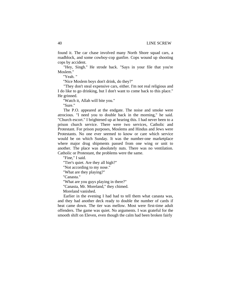found it. The car chase involved many North Shore squad cars, a roadblock, and some cowboy-cop gunfire. Cops wound up shooting cops by accident.

"Hey, Singh.'' He strode back. "Says in your file that you're Moslem."

"Yeah. "

"Nice Moslem boys don't drink, do they?"

"They don't steal expensive cars, either. I'm not real religious and I do like to go drinking, but I don't want to come back to this place." He grinned.

"Watch it, Allah will bite you."

"Sure."

 The P.O. appeared at the endgate. The noise and smoke were atrocious. "I need you to double back in the morning," he said. "Church escort." I brightened up at hearing this. I had never been to a prison church service. There were two services, Catholic and Protestant. For prison purposes, Moslems and Hindus and Jews were Protestants. No one ever seemed to know or care which service would be on which Sunday. It was the number-one marketplace where major drug shipments passed from one wing or unit to another. The place was absolutely nuts. There was no ventilation. Catholic or Protestant, the problems were the same.

"Fine," I said.

"Tier's quiet. Are they all high?"

"Not according to my nose."

"What are they playing?"

"Canasta."

"What are you guys playing in there?"

"Canasta, Mr. Moreland," they chimed.

Moreland vanished.

Earlier in the evening I had had to tell them what canasta was, and they had another deck ready to double the number of cards if heat came down. The tier was mellow. Most were first-time adult offenders. The game was quiet. No arguments. I was grateful for the smooth shift on Eleven, even though the calm had been broken fairly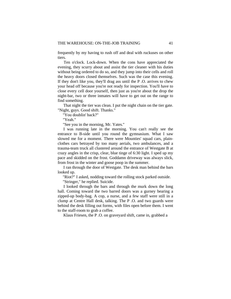frequently by my having to rush off and deal with ruckuses on other tiers.

 Ten o'clock. Lock-down. When the cons have appreciated the evening, they scurry about and assist the tier cleaner with his duties without being ordered to do so, and they jump into their cells and roll the heavy doors closed themselves. Such was the case this evening. If they don't like you, they'll drag ass until the P .O. arrives to chew your head off because you're not ready for inspection. You'll have to close every cell door yourself, then just as you're about the drop the night-bar, two or three inmates will have to get out on the range to find something.

That night the tier was clean. I put the night chain on the tier gate. "Night, guys. Good shift. Thanks."

"You doublin' back?"

"Yeah."

"See you in the morning, Mr. Yates.''

I was running late in the morning. You can't really see the entrance to B-side until you round the gymnasium. What I saw slowed me for a moment. There were Mounties' squad cars, plainclothes cars betrayed by too many aerials, two ambulances, and a trauma-team truck all clustered around the entrance of Westgate B at crazy angles in the crisp, clear, blue tinge of 6:30 light. I sped up my pace and skidded on the frost. Goddamn driveway was always slick, from frost in the winter and goose poop in the summer.

I ran through the door of Westgate. The desk man behind the bars looked up.

"Riot?" I asked, nodding toward the rolling stock parked outside.

"Stringer," he replied. Suicide.

 I looked through the bars and through the murk down the long hall. Coming toward the two barred doors was a gurney bearing a zipped-up body-bag. A cop, a nurse, and a few staff were still in a clump at Centre Hall desk, talking. The P .O. and two guards were behind the desk filling out forms, with files open before them. I went to the staff-room to grab a coffee.

Klaus Friesen, the P .O. on graveyard shift, came in, grabbed a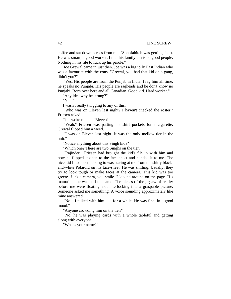coffee and sat down across from me. "Sonofabitch was getting short. He was smart, a good worker. I met his family at visits, good people. Nothing in his file to fuck up his parole."

Joe Grewal came in just then. Joe was a big jolly East Indian who was a favourite with the cons. "Grewal, you had that kid on a gang, didn't you?"

"Yes. His people are from the Punjab in India. I rag him all time, he speaks no Punjabi. His people are ragheads and he don't know no Punjabi. Born over here and all Canadian. Good kid. Hard worker."

"Any idea why he strung?"

"Nah."

I wasn't really twigging to any of this.

"Who was on Eleven last night? I haven't checked the roster," Friesen asked.

This woke me up. "Eleven?"

"Yeah." Friesen was patting his shirt pockets for a cigarette. Grewal flipped him a weed.

"I was on Eleven last night. It was the only mellow tier in the unit."

"Notice anything about this Singh kid?"

"Which one? There are two Singhs on the tier."

"Rajinder." Friesen had brought the kid's file in with him and now he flipped it open to the face-sheet and handed it to me. The nice kid I had been talking to was staring at me from the shitty blackand-white Polaroid on his face-sheet. He was smiling. Usually, they try to look tough or make faces at the camera. This kid was too green: if it's a camera, you smile. I looked around on the page. His mama's name was still the same. The pieces of the jigsaw of reality before me were floating, not interlocking into a graspable picture. Someone asked me something. A voice sounding approximately like mine answered.

"No... I talked with him . . . for a while. He was fine, in a good mood."

"Anyone crowding him on the tier?"

"No, he was playing cards with a whole tableful and getting along with everyone."

"What's your name?"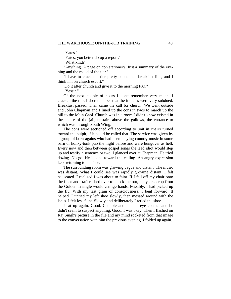"Yates."

"Yates, you better do up a report."

"What kind?"

"Anything. A page on con stationery. Just a summary of the evening and the mood of the tier."

"I have to crack the tier pretty soon, then breakfast line, and I think I'm on church escort."

"Do it after church and give it to the morning P.O."

"Yessir."

Of the next couple of hours I don't remember very much. I cracked the tier. I do remember that the inmates were very subdued. Breakfast passed. Then came the call for church. We went outside and John Chapman and I lined up the cons in twos to march up the hill to the Main Gaol. Church was in a room I didn't know existed in the centre of the jail, upstairs above the gallows, the entrance to which was through South Wing.

The cons were sectioned off according to unit in chairs turned toward the pulpit, if it could be called that. The service was given by a group of born-agains who had been playing country music in some barn or honky-tonk pub the night before and were hungover as hell. Every now and then between gospel songs the lead idiot would step up and testify a sentence or two. I glanced over at Chapman. He tried dozing. No go. He looked toward the ceiling. An angry expression kept returning to his face.

The surrounding room was growing vague and distant. The music was distant. What I could see was rapidly growing distant. I felt nauseated. I realized I was about to faint. If I fell off my chair onto the floor and staff rushed over to check me out, the year's crop from the Golden Triangle would change hands. Possibly, I had picked up the flu. With my last grain of consciousness, I bent forward. It helped. I untied my left shoe slowly, then messed around with the laces. I felt less faint. Slowly and deliberately I retied the shoe.

I sat up again. Good. Chappie and I made eye contact and he didn't seem to suspect anything. Good. I was okay. Then I flashed on Raj Singh's picture in the file and my mind rocketed from that image to the conversation with him the previous evening. I folded up again.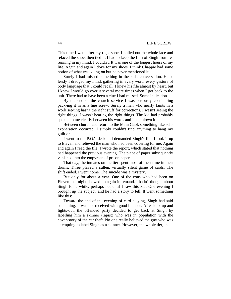This time I went after my right shoe. I pulled out the whole lace and relaced the shoe, then tied it. I had to keep the film of Singh from rerunning in my mind. I couldn't. It was one of the longest hours of my life. Again and again I dove for my shoes. I think Chappie had some notion of what was going on but he never mentioned it.

Surely I had missed something in the kid's conversation. Helplessly I dredged my mind, gathering in every word, every gesture of body language that I could recall. I knew his file almost by heart, but I knew I would go over it several more times when I got back to the unit. There had to have been a clue I had missed. Some indication.

By the end of the church service I was seriously considering pack-ing it in as a line screw. Surely a man who nearly faints in a work set-ting hasn't the right stuff for corrections. I wasn't seeing the right things. I wasn't hearing the right things. The kid had probably spoken to me clearly between his words and I had blown it.

Between church and return to the Main Gaol, something like selfexoneration occurred. I simply couldn't find anything to hang my guilt on.

I went to the P.O.'s desk and demanded Singh's file. I took it up to Eleven and relieved the man who had been covering for me. Again and again I read the file. I wrote the report, which stated that nothing had happened the previous evening. The piece of paper subsequently vanished into the empyrean of prison papers.

That day, the inmates on the tier spent most of their time in their drums. Three played a sullen, virtually silent game of cards. The shift ended. I went home. The suicide was a mystery.

But only for about a year. One of the cons who had been on Eleven that night showed up again in remand. I hadn't thought about Singh for a while, perhaps not until I saw this kid. One evening I brought up the subject, and he had a story to tell. It went something like this:

Toward the end of the evening of card-playing, Singh had said something. It was not received with good humour. After lock-up and lights-out, the offended party decided to get back at Singh by labelling him a skinner (rapist) who was in population with the cover-story of the car theft. No one really believed the guy who was attempting to label Singh as a skinner. However, the whole tier, in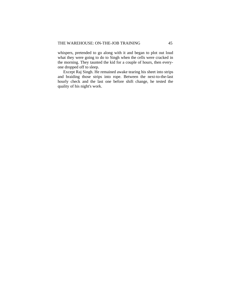whispers, pretended to go along with it and began to plot out loud what they were going to do to Singh when the cells were cracked in the morning. They taunted the kid for a couple of hours, then everyone dropped off to sleep.

Except Raj Singh. He remained awake tearing his sheet into strips and braiding those strips into rope. Between the next-to-the-last hourly check and the last one before shift change, he tested the quality of his night's work.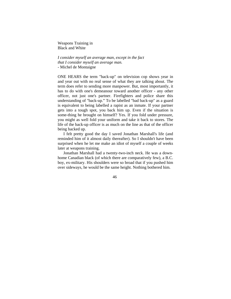Weapons Training in Black and White

*I consider myself an average man, except in the fact that I consider myself an average man.*  - Michel de Montaigne

ONE HEARS the term "back-up" on television cop shows year in and year out with no real sense of what they are talking about. The term does refer to sending more manpower. But, most importantly, it has to do with one's demeanour toward another officer - any other officer, not just one's partner. Firefighters and police share this understanding of "back-up." To be labelled "bad back-up" as a guard is equivalent to being labelled a rapist as an inmate. If your partner gets into a tough spot, you back him up. Even if the situation is some-thing he brought on himself? Yes. If you fold under pressure, you might as well fold your uniform and take it back to stores. The life of the back-up officer is as much on the line as that of the officer being backed up.

I felt pretty good the day I saved Jonathan Marshall's life (and reminded him of it almost daily thereafter). So I shouldn't have been surprised when he let me make an idiot of myself a couple of weeks later at weapons training.

Jonathan Marshall had a twenty-two-inch neck. He was a downhome Canadian black (of which there are comparatively few), a B.C. boy, ex-military. His shoulders were so broad that if you pushed him over sideways, he would be the same height. Nothing bothered him.

46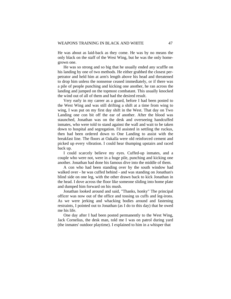He was about as laid-back as they come. He was by no means the only black on the staff of the West Wing, but he was the only homegrown one.

He was so strong and so big that he usually ended any scuffle on his landing by one of two methods. He either grabbed the closest perpetrator and held him at arm's length above his head and threatened to drop him unless the nonsense ceased immediately, or if there was a pile of people punching and kicking one another, he ran across the landing and jumped on the topmost combatant. This usually knocked the wind out of all of them and had the desired result.

Very early in my career as a guard, before I had been posted to the West Wing and was still drifting a shift at a time from wing to wing, I was put on my first day shift in the West. That day on Two Landing one con bit off the ear of another. After the blood was staunched, Jonathan was on the desk and overseeing handcuffed inmates, who were told to stand against the wall and wait to be taken down to hospital and segregation. I'd assisted in settling the ruckus, then had been ordered down to One Landing to assist with the breakfast line. The floors at Oakalla were old reinforced cement and picked up every vibration. I could hear thumping upstairs and raced back up.

I could scarcely believe my eyes. Cuffed-up inmates, and a couple who were not, were in a huge pile, punching and kicking one another. Jonathan had done his famous dive into the middle of them.

A con who had been standing over by the south window had walked over - he was cuffed behind - and was standing on Jonathan's blind side on one leg, with the other drawn back to kick Jonathan in the head. I dove across the floor like someone sliding into home plate and dumped him forward on his mush.

Jonathan looked around and said, "Thanks, honky" The principal officer was now out of the office and tossing us cuffs and leg-irons. As we were jerking and whacking bodies around and fastening restraints, I pointed out to Jonathan (as I do to this day) that he owed me his life.

One day after I had been posted permanently to the West Wing, Jack Cornelius, the desk man, told me I was on patrol during yard (the inmates' outdoor playtime). I explained to him in a whisper that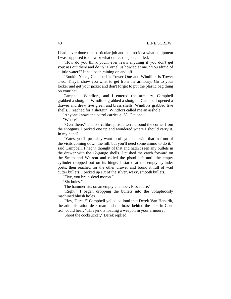I had never done that particular job and had no idea what equipment I was supposed to draw or what duties the job entailed.

"How do you think you'll ever learn anything if you don't get you: ass out there and do it?" Cornelius howled at me. "You afraid of a little water?" It had been raining on and off.

"Rookie Yates, Campbell is Tower One and Windfors is Tower Two. They'll show you what to get from the armoury. Go to your locker and get your jacket and don't forget to put the plastic bag thing on your hat."

Campbell, Windfors, and I entered the armoury. Campbell grabbed a shotgun. Windfors grabbed a shotgun. Campbell opened a drawer and drew five green and brass shells. Windfors grabbed five shells. I reached for a shotgun. Windfors called me an asshole.

"Anyone knows the patrol carries a .38. Get one."

"Where?"

"Over there." The .38-calibre pistols were around the corner from the shotguns. I picked one up and wondered where I should carry it. In my hand?

"Yates, you'll probably want to off yourself with that in front of the visits coming down the hill, but you'll need some ammo to do it," said Campbell. I hadn't thought of that and hadn't seen any bullets in the drawer with the 12-gauge shells. I pushed the catch forward on the Smith and Wesson and rolled the pistol left until the empty cylinder dropped out on its hinge. I stared at the empty cylinder ports, then reached for the other drawer and found it full of wad cutter bullets. I picked up six of the silver, waxy, smooth bullets.

"Five, you brain-dead moron."

"Six holes."

"The hammer sits on an empty chamber. Procedure."

"Right." I began dropping the bullets into the voluptuously machined bluish holes.

"Hey, Derek!" Campbell yelled so loud that Derek Van Hendrik, the administration desk man and the brass behind the bars in Control, could hear. "This jerk is loading a weapon in your armoury."

"Shoot the cocksucker," Derek replied.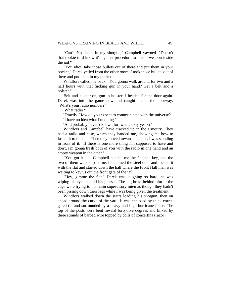"Can't. No shells in my shotgun," Campbell yawned. "Doesn't that rookie turd know it's against procedure to load a weapon inside the jail?"

"You idiot, take those bullets out of there and put them in your pocket," Derek yelled from the other room. I took those bullets out of there and put them in my pocket.

Windfors called me back. "You gonna walk around for two and a half hours with that fucking gun in your hand? Get a belt and a holster."

Belt and holster on, gun in holster, I headed for the door again. Derek was into the game now and caught me at the doorway. "What's your radio number?"

"What radio?"

"Exactly. How do you expect to communicate with the universe?" "I have no idea what I'm doing."

"And probably haven't known for, what, sixty years?"

Windfors and Campbell have cracked up in the armoury. They had a radio and case, which they handed me, showing me how to fasten it to the belt. Then they moved toward the door. I was standing in front of it. "If there is one more thing I'm supposed to have and don't, I'm gonna trash both of you with the radio in one hand and an empty weapon in the other."

"You got it all." Campbell handed me the flat, the key, and the two of them walked past me. I slammed the steel door and locked it with the flat and started down the hall where the Front Hall man was waiting to key us out the front gate of the jail.

"Hey, gimme the flat." Derek was laughing so hard, he was wiping his eyes behind his glasses. The big brass behind him in the cage were trying to maintain supervisory mien as though they hadn't been pissing down their legs while I was being given the treatment.

Windfors walked down the stairs loading his shotgun, then on ahead around the curve of the yard. It was enclosed by thick corrugated tin and surrounded by a heavy and high hurricane fence. The top of the posts were bent inward forty-five degrees and linked by three strands of barbed wire topped by coils of concertina (razor)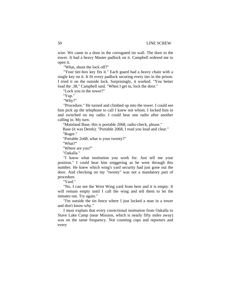wire. We came to a door in the corrugated tin wall. The door to the tower. It had a heavy Master padlock on it. Campbell ordered me to open it.

"What, shoot the lock off?"

"Your tier-box key fits it." Each guard had a heavy chain with a single key on it. It fit every padlock securing every tier in the prison. I tried it on the outside lock. Surprisingly, it worked. "You better load the .38," Campbell said. "When I get in, lock the door."

"Lock you in the tower?"

"Yup."

"Why?"

"Procedure." He turned and climbed up into the tower. I could see him pick up the telephone to call I knew not whom. I locked him in and switched on my radio. I could hear one radio after another calling in. My turn.

"Mainland Base, this is portable 2068, radio-check, please."

Base (it was Derek): "Portable 2068, I read you loud and clear." "Roger."

"Portable 2o68, what is your twenty?"

"What?"

"Where are you?"

"Oakalla."

"I know what institution you work for. Just tell me your position." I could hear him sniggering as he went through this number. He knew which wing's yard security had just gone out the door. And checking on my "twenty" was not a mandatory part of procedure.

"Yard."

"No. I can see the West Wing yard from here and it is empty. It will remain empty until I call the wing and tell them to let the inmates out. Try again."

"I'm outside the tin fence where I just locked a man in a tower and don't know why."

I must explain that every correctional institution from Oakalla to Stave Lake Camp (near Mission, which is nearly fifty miles away) was on the same frequency. Not counting cops and reporters and every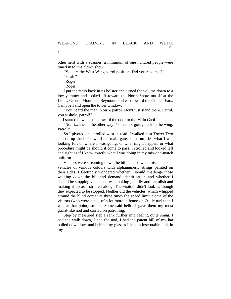other nerd with a scanner, a minimum of one hundred people were tuned in to this clown show.

"You are the West Wing patrol position. Did you read that?"

"Yeah."

1

"Roger."

"Roger."

I put the radio back in its holster and turned the volume down to a low yammer and looked off toward the North Shore massif at the Lions, Grouse Mountain, Seymour, and east toward the Golden Ears. Campbell slid open the tower window.

"You heard the man. You're patrol. Don't just stand there. Patrol, you asshole, patrol!"

I started to walk back toward the door to the Main Gaol.

"No, fizckhead, the other way. You're not going back to the wing. Patrol!"

So I pivoted and strolled west instead. I walked past Tower Two and on up the hill toward the main gate. I had no idea what I was looking for, or where I was going, or what might happen, or what procedure might be should it come to pass. I strolled and looked left and right as if I knew exactly what I was doing in my mix-and-match uniform.

Visitors were streaming down the hill, and so were miscellaneous vehicles of various colours with alphanumeric strings painted on their sides. I fleetingly wondered whether I should challenge those walking down the hill and demand identification and whether I should be stopping vehicles. I was looking guardly and patrolish and making it up as I strolled along. The visitors didn't look as though they expected to be stopped. Neither did the vehicles, which whipped around the blind corner at three times the speed limit. Some of the visitors (who were a hell of a lot more at home on Oakie turf than I was at that point) smiled. Some said hello. I gave them my most guard-like nod and carried on patrolling.

Step by measured step I sank further into feeling quite smug. I had the walk down, I had the nod, I had the patent bill of my hat pulled down low, and behind my glasses I had an inscrutable look in my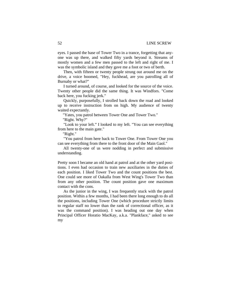eyes. I passed the base of Tower Two in a trance, forgetting that anyone was up there, and walked fifty yards beyond it. Streams of mostly women and a few men passed to the left and right of me. I was the symbolic island and they gave me a foot or two of berth.

Then, with fifteen or twenty people strung out around me on the drive, a voice boomed, "Hey, fuckhead, are you patrolling all of Burnaby or what?"

I turned around, of course, and looked for the source of the voice. Twenty other people did the same thing. It was Windfors. "Come back here, you fucking jerk."

Quickly, purposefully, I strolled back down the road and looked up to receive instruction from on high. My audience of twenty waited expectantly.

"Yates, you patrol between Tower One and Tower Two."

"Right. Why?"

"Look to your left." I looked to my left. "You can see everything from here to the main gate."

"Right."

"You patrol from here back to Tower One. From Tower One you can see everything from there to the front door of the Main Gaol."

All twenty-one of us were nodding in perfect and submissive understanding.

Pretty soon I became an old hand at patrol and at the other yard positions. I even had occasion to train new auxiliaries in the duties of each position. I liked Tower Two and the count positions the best. One could see more of Oakalla from West Wing's Tower Two than from any other position. The count position gave one maximum contact with the cons.

As the junior in the wing, I was frequently stuck with the patrol position. Within a few months, I had been there long enough to do all the positions, including Tower One (which procedure strictly limits to regular staff no lower than the rank of correctional officer, as it was the command position). I was heading out one day when Principal Officer Horatio MacKay, a.k.a. "Plankface," asked to see my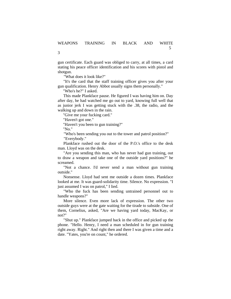gun certificate. Each guard was obliged to carry, at all times, a card stating his peace officer identification and his scores with pistol and shotgun.

"What does it look like?"

"It's the card that the staff training officer gives you after your gun qualification. Henry Abbot usually signs them personally."

"Who's he?" I asked.

This made Plankface pause. He figured I was having him on. Day after day, he had watched me go out to yard, knowing full well that as junior jerk I was getting stuck with the .38, the radio, and the walking up and down in the rain.

"Give me your fucking card."

"Haven't got one."

"Haven't you been to gun training?"

"No."

3

"Who's been sending you out to the tower and patrol position?" "Everybody."

Plankface rushed out the door of the P.O.'s office to the desk man. Lloyd was on the desk.

"Are you sending this man, who has never had gun training, out to draw a weapon and take one of the outside yard positions?" he screamed.

"Not a chance. I'd never send a man without gun training outside."

Nonsense. Lloyd had sent me outside a dozen times. Plankface looked at me. It was guard-solidarity time. Silence. No expression. "I just assumed I was on patrol," I lied.

"Who the fuck has been sending untrained personnel out to handle weapons?"

More silence. Even more lack of expression. The other two outside guys were at the gate waiting for the tirade to subside. One of them, Cornelius, asked, "Are we having yard today, MacKay, or not?"

"Shut up." Plankface jumped back in the office and picked up the phone. "Hello. Henry, I need a man scheduled in for gun training right away. Right." And right then and there I was given a time and a date. "Yates, you're on count," he ordered.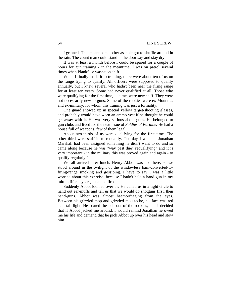I grinned. This meant some other asshole got to shuffle around in the rain. The count man could stand in the doorway and stay dry.

It was at least a month before I could be spared for a couple of hours for gun training - in the meantime, I was on patrol several times when Plankface wasn't on shift.

When I finally made it to training, there were about ten of us on the range trying to qualify. All officers were supposed to qualify annually, but I knew several who hadn't been near the firing range for at least ten years. Some had never qualified at all. Those who were qualifying for the first time, like me, were new staff. They were not necessarily new to guns. Some of the rookies were ex-Mounties and ex-military, for whom this training was just a formality.

One guard showed up in special yellow target-shooting glasses, and probably would have worn an ammo vest if he thought he could get away with it. He was very serious about guns. He belonged to gun clubs and lived for the next issue of *Soldier of Fortune.* He had a house full of weapons, few of them legal.

About two-thirds of us were qualifying for the first time. The other third were staff in to requalify. The day I went in, Jonathan Marshall had been assigned something he didn't want to do and so came along because he was "way past due" requalifying" and it is very important - in the military this was proved again and again - to qualify regularly."

We all arrived after lunch. Henry Abbot was not there, so we stood around in the twilight of the windowless barn-converted-tofiring-range smoking and gossiping. I have to say I was a little worried about this exercise, because I hadn't held a hand-gun in my mitt in fifteen years, let alone fired one.

Suddenly Abbot loomed over us. He called us in a tight circle to hand out ear-muffs and tell us that we would do shotguns first, then hand-guns. Abbot was almost haemorrhaging from the eyes. Between his grizzled mop and grizzled moustache, his face was red as a tail-light. He scared the hell out of the rookies, and I decided that if Abbot jacked me around, I would remind Jonathan he owed me his life and demand that he pick Abbot up over his head and stow him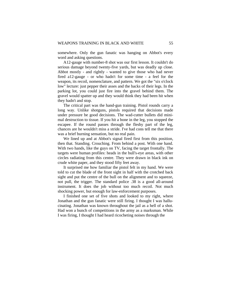somewhere. Only the gun fanatic was hanging on Abbot's every word and asking questions.

A12-gauge with number-8 shot was our first lesson. It couldn't do serious damage beyond twenty-five yards, but was deadly up close. Abbot mostly - and rightly - wanted to give those who had never fired a12-gauge - or who hadn't for some time - a feel for the weapon, its recoil, nomenclature, and pattern. We got the "six o'clock low" lecture: just pepper their asses and the backs of their legs. In the parking lot, you could just fire into the gravel behind them. The gravel would spatter up and they would think they had been hit when they hadn't and stop.

The critical part was the hand-gun training. Pistol rounds carry a long way. Unlike shotguns, pistols required that decisions made under pressure be good decisions. The wad-cutter bullets did minimal destruction to tissue. If you hit a bone in the leg, you stopped the escapee. If the round passes through the fleshy part of the leg, chances are he wouldn't miss a stride. I've had cons tell me that there was a brief burning sensation, but no real pain.

We lined up and at Abbot's signal fired first from this position, then that. Standing. Crouching. From behind a post. With one hand. With two hands, like the guys on TV, facing the target frontally. The targets were human profiles: heads in the bull's-eye areas, with other circles radiating from this centre. They were drawn in black ink on crude white paper, and they stood fifty feet away.

It surprised me how familiar the pistol felt in my hand. We were told to cut the blade of the front sight in half with the crotched back sight and put the centre of the bull on the alignment and to squeeze, not pull, the trigger. The standard police .38 is a good all-around instrument. It does the job without too much recoil. Not much shocking power, but enough for law-enforcement purposes.

I finished one set of five shots and looked to my right, where Jonathan and the gun fanatic were still firing. I thought I was hallucinating. Jonathan was known throughout the jail as a hell of a shot. Had won a bunch of competitions in the army as a marksman. While I was firing, I thought I had heard ricocheting noises through the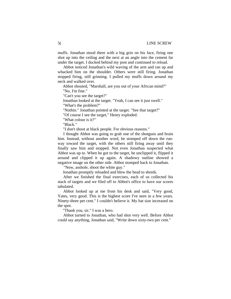muffs. Jonathan stood there with a big grin on his face, firing one shot up into the ceiling and the next at an angle into the cement far under the target. I ducked behind my post and continued to reload.

Abbot noticed Jonathan's wild waving of the arm and ran up and whacked him on the shoulder. Others were still firing. Jonathan stopped firing, still grinning. I pulled my muffs down around my neck and walked over.

Abbot shouted, "Marshall, are you out of your African mind?" "No, I'm fine."

"Can't you see the target?"

Jonathan looked at the target. "Yeah, I can see it just swell." "What's the problem?"

"Nothin." Jonathan pointed at the target. "See that target?"

"Of course I see the target," Henry exploded.

"What colour is it?"

"Black."

"I don't shoot at black people. For obvious reasons."

I thought Abbot was going to grab one of the shotguns and brain him. Instead, without another word, he stomped off down the runway toward the target, with the others still firing away until they finally saw him and stopped. Not even Jonathan suspected what Abbot was up to. When he got to the target, he unclipped it, flipped it around and clipped it up again. A shadowy outline showed a negative image on the other side. Abbot stomped back to Jonathan.

"Now, asshole, shoot the white guy."

Jonathan promptly reloaded and blew the head to shreds.

After we finished the final exercises, each of us collected his stack of targets and we filed off to Abbot's office to have our scores tabulated.

Abbot looked up at me from his desk and said, "Very good, Yates, very good. This is the highest score I've seen in a few years. Ninety-three per cent." I couldn't believe it. My hat size increased on the spot.

"Thank you, sir." I was a hero.

Abbot turned to Jonathan, who had shot very well. Before Abbot could say anything, Jonathan said, "Write down sixty-two per cent."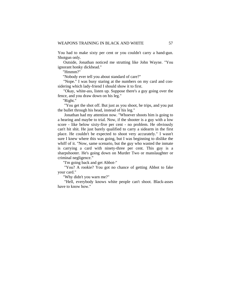You had to make sixty per cent or you couldn't carry a hand-gun. Shotgun only.

Outside, Jonathan noticed me strutting like John Wayne. "You ignorant honky dickhead."

"Hmmm?"

"Nobody ever tell you about standard of care?"

"Nope." I was busy staring at the numbers on my card and considering which lady-friend I should show it to first.

"Okay, white-ass, listen up. Suppose there's a guy going over the fence, and you draw down on his leg."

"Right."

"You get the shot off. But just as you shoot, he trips, and you put the bullet through his head, instead of his leg."

Jonathan had my attention now. "Whoever shoots him is going to a hearing and maybe to trial. Now, if the shooter is a guy with a low score - like below sixty-five per cent - no problem. He obviously can't hit shit. He just barely qualified to carry a sidearm in the first place. He couldn't be expected to shoot very accurately." I wasn't sure I knew where this was going, but I was beginning to dislike the whiff of it. "Now, same scenario, but the guy who wasted the inmate is carrying a card with ninety-three per cent. This guy is a sharpshooter. He's going down on Murder Two or manslaughter or criminal negligence."

"I'm going back and get Abbot-"

"You? A rookie? You got no chance of getting Abbot to fake your card."

"Why didn't you warn me?"

"Hell, everybody knows white people can't shoot. Black-asses have to know how."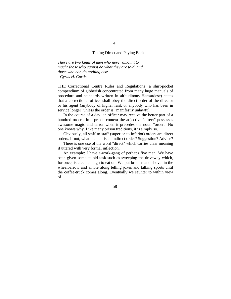#### Taking Direct and Paying Back

*There are two kinds of men who never amount to much: those who cannot do what they are told, and those who can do nothing else. - Cyrus H. Curtis* 

THE Correctional Centre Rules and Regulations (a shirt-pocket compendium of gibberish concentrated from many huge manuals of procedure and standards written in altitudinous Hansardese) states that a correctional officer shall obey the direct order of the director or his agent (anybody of higher rank or anybody who has been in service longer) unless the order is "manifestly unlawful."

In the course of a day, an officer may receive the better part of a hundred orders. In a prison context the adjective "direct" possesses awesome magic and terror when it precedes the noun "order." No one knows why. Like many prison traditions, it is simply so.

Obviously, all staff-to-staff (superior-to-inferior) orders are direct orders. If not, what the hell is an indirect order? Suggestion? Advice?

There is one use of the word "direct" which carries clear meaning if uttered with very formal inflection.

An example: I have a-work-gang of perhaps five men. We have been given some stupid task such as sweeping the driveway which, for once, is clean enough to eat on. We put brooms and shovel in the wheelbarrow and amble along telling jokes and talking sports until the coffee-truck comes along. Eventually we saunter to within view of

58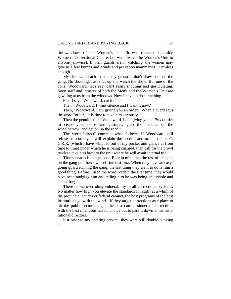the windows of the Women's Unit (it was renamed Lakeside Women's Correctional Centre, but was always the Women's Unit to anyone jail-wise). If their guards aren't watching, the women may give us a few bumps and grinds and peekaboo mammaries. Harmless enough.

My deal with each man in my group is don't draw heat on the gang. No shouting. Just shut up and watch the show. But one of the cons, Woodward, let's say, can't resist shouting and gesticulating. Soon staff and inmates of both the Men's and the Women's Unit are gawking at us from the windows. Now I have to do something.

First I say, "Woodward, cut it out."

Then, "Woodward, I want silence and I want it now."

Then, "Woodward, I am giving you an order." When a guard says the word "order," it is time to take him seriously.

Then the penultimate, "Woodward, I am giving you a *direct* order to cease your noise and gestures, grab the handles of the wheelbarrow, and get on up the road."

The word "direct" commits what follows. If Woodward still refuses to comply, I will explain the section and article of the C. C.R.R. (which I have whipped out of my pocket and glance at from time to time) under which he is being charged, then call for the prowl truck to take him back to the unit where he will await internal trial.

That scenario is exceptional. Bear in mind that the rest of the cons on the gang put their own self-interest first. When they have an easygoing guard running the gang, the last thing they want to do is ruin a good thing. Before I used the word "order" the first time, they would have been nudging him and telling him he was being an asshole and a heat-bag.

There is one overriding vulnerability to all correctional systems. No matter how high you elevate the standards for staff, at a whim of the provincial caucus or federal cabinet, the best programs of the best institutions go with the winds. If they target corrections as a place to hit the public-sector budget, the best commissioner of corrections with the best intentions has no choice but to pass it down to his institutional directors.

Just prior to my entering service, they were still double-bunking at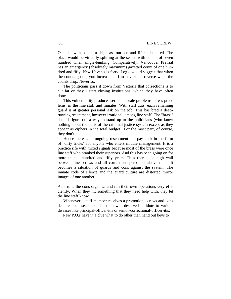Oakalla, with counts as high as fourteen and fifteen hundred. The place would be virtually splitting at the seams with counts of seven hundred when single-bunking. Comparatively, Vancouver Pretrial has an emergency (absolutely maximum) gazetted count of one hundred and fifty. New Haven's is forty. Logic would suggest that when the counts go up, you increase staff to cover; the reverse when the counts drop. Never so.

The politicians pass it down from Victoria that corrections is to cut fat or they'll start closing institutions, which they have often done.

This vulnerability produces serious morale problems, stress problems, in the line staff and inmates. With staff cuts, each remaining guard is at greater personal risk on the job. This has bred a deeprunning resentment, however irrational, among line staff: The "brass" should figure out a way to stand up to the politicians (who know nothing about the parts of the criminal justice system except as they appear as ciphers in the total budget). For the most part, of course, they don't.

Hence there is an ongoing resentment and pay-back in the form of "dirty tricks" for anyone who enters middle management. It is a practice rife with mixed signals because most of the brass were once line staff who pranked their superiors. And this has been going on for more than a hundred and fifty years. Thus there is a high wall between line screws and all corrections personnel above them. It becomes a situation of guards and cons against the system. The inmate code of silence and the guard culture are distorted mirror images of one another.

As a rule, the cons organize and run their own operations very efficiently. When they hit something that they need help with, they let the line staff know.

Whenever a staff member receives a promotion, screws and cons declare open season on him - a well-deserved antidote to various diseases like principal-officer-itis or senior-correctional-officer-itis.

New P.O.s haven't a clue what to do other than hand out keys to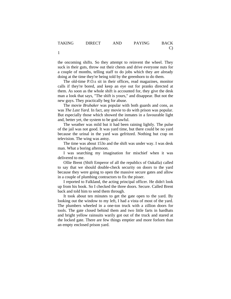the oncoming shifts. So they attempt to reinvent the wheel. They suck in their guts, throw out their chests and drive everyone nuts for a couple of months, telling staff to do jobs which they are already doing at the time they're being told by the greenhorn to do them.

The old-time P.O.s sit in their offices, read magazines, monitor calls if they're bored, and keep an eye out for pranks directed at them. As soon as the whole shift is accounted for, they give the desk man a look that says, "The shift is yours," and disappear. But not the new guys. They practically beg for abuse.

The movie *Brubaker* was popular with both guards and cons, as was *The Last Yard.* In fact, any movie to do with prison was popular. But especially those which showed the inmates in a favourable light and, better yet, the system to be god-awful.

The weather was mild but it had been raining lightly. The pulse of the jail was not good. It was yard time, but there could be no yard because the urinal in the yard was gefritzed. Nothing but crap on television. The wing was antsy.

The time was about 153o and the shift was under way. I was desk man. What a boring afternoon.

I was searching my imagination for mischief when it was delivered to me.

Ollie Brent (Shift Emperor of all the republics of Oakalla) called to say that we should double-check security on doors to the yard because they were going to open the massive secure gates and allow in a couple of plumbing contractors to fix the pisser.

I reported to Falkland, the acting principal officer. He didn't look up from his book. So I checked the three doors. Secure. Called Brent back and told him to send them through.

It took about ten minutes to get the gate open to the yard. By looking out the window to my left, I had a vista of most of the yard. The plumbers wheeled in a one-ton truck with a zillion doors for tools. The gate closed behind them and two little farts in hardhats and bright yellow rainsuits warily got out of the truck and stared at the locked gate. There are few things emptier and more forlorn than an empty enclosed prison yard.

1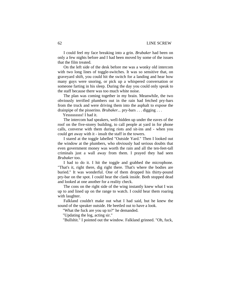I could feel my face breaking into a grin. *Brubaker* had been on only a few nights before and I had been moved by some of the issues that the film treated.

On the left side of the desk before me was a wonky old intercom with two long lines of toggle-switches. It was so sensitive that, on graveyard shift, you could hit the switch for a landing and hear how many guys were snoring, or pick up a whispered conversation or someone farting in his sleep. During the day you could only speak to the staff because there was too much white noise.

The plan was coming together in my brain. Meanwhile, the two obviously terrified plumbers out in the rain had fetched pry-bars from the truck and were driving them into the asphalt to expose the drainpipe of the pisserino. *Brubaker...* pry-bars . . . digging . . .

Yesssssssss! I had it.

The intercom had speakers, well-hidden up under the eaves of the roof on the five-storey building, to call people at yard in for phone calls, converse with them during riots and sit-ins and - when you could get away with it - insult the staff in the towers.

I stared at the toggle labelled "Outside Yard." Then I looked out the window at the plumbers, who obviously had serious doubts that even government money was worth the rain and all the ten-feet-tall criminals just a wall away from them. I prayed they had seen *Brubaker* too.

I had to do it. I hit the toggle and grabbed the microphone. "That's it, right there, dig right there. That's where the bodies are buried." It was wonderful. One of them dropped his thirty-pound pry-bar on the spot. I could hear the clank inside. Both stopped dead and looked at one another for a reality check.

The cons on the right side of the wing instantly knew what I was up to and lined up on the range to watch. I could hear them roaring with laughter.

Falkland couldn't make out what I had said, but he knew the sound of the speaker outside. He beetled out to have a look.

"What the fuck are you up to?" he demanded.

"Updating the log, acting sir."

"Bullshit." I pointed out the window. Falkland grinned. "Oh, fuck,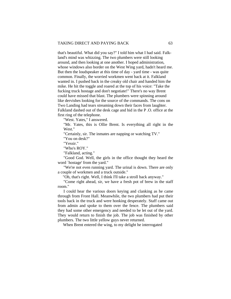that's beautiful. What did you say?" I told him what I had said. Falkland's mind was whizzing. The two plumbers were still looking around, and then looking at one another. I hoped administration, whose windows also border on the West Wing yard, hadn't heard me. But then the loudspeaker at this time of day - yard time - was quite common. Finally, the worried workmen went back at it. Falkland wanted in. I pushed back in the creaky old chair and handed him the mike. He hit the toggle and roared at the top of his voice: "Take the fucking truck hostage and don't negotiate!" There's no way Brent could have missed that blast. The plumbers were spinning around like dervishes looking for the source of the commands. The cons on Two Landing had tears streaming down their faces from laughter. Falkland dashed out of the desk cage and hid in the P .O. office at the first ring of the telephone.

"West. Yates," I answered.

"Mr. Yates, this is Ollie Brent. Is everything all right in the West."

"Certainly, sir. The inmates are napping or watching TV."

"You on desk?"

"Yessir."

"Who's ROY."

"Falkland, acting."

"Good God. Well, the girls in the office thought they heard the word `hostage' from the yard."

"We're not even running yard. The urinal is down. There are only a couple of workmen and a truck outside."

"Oh, that's right. Well, I think I'll take a stroll back anyway."

"Come right ahead, sir, we have a fresh pot of brew in the staff room."

I could hear the various doors keying and clanking as he came through from Front Hall. Meanwhile, the two plumbers had put their tools back in the truck and were honking desperately. Staff came out from admin and spoke to them over the fence. The plumbers said they had some other emergency and needed to be let out of the yard. They would return to finish the job. The job was finished by other plumbers. The two little yellow guys never returned.

When Brent entered the wing, to my delight he interrogated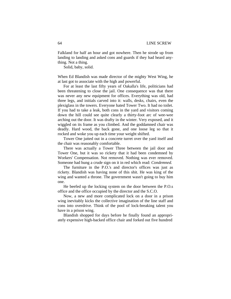Falkland for half an hour and got nowhere. Then he strode up from landing to landing and asked cons and guards if they had heard anything. Not a thing.

Solid, baby, solid.

When Ed Blandish was made director of the mighty West Wing, he at last got to associate with the high and powerful.

For at least the last fifty years of Oakalla's life, politicians had been threatening to close the jail. One consequence was that there was never any new equipment for offices. Everything was old, had three legs, and initials carved into it: walls, desks, chairs, even the plexiglass in the towers. Everyone hated Tower Two. It had no toilet. If you had to take a leak, both cons in the yard and visitors coming down the hill could see quite clearly a thirty-foot arc of wee-wee arching out the door. It was drafty in the winter. Very exposed, and it wiggled on its frame as you climbed. And the goddamned chair was deadly. Hard wood, the back gone, and one loose leg so that it rocked and woke you up each time your weight shifted.

Tower One jutted out in a concrete turret over the yard itself and the chair was reasonably comfortable.

There was actually a Tower Three between the jail door and Tower One, but it was so rickety that it had been condemned by Workers' Compensation. Not removed. Nothing was ever removed. Someone had hung a crude sign on it in red which read: *Condemned.* 

The furniture in the P.O.'s and director's offices was just as rickety. Blandish was having none of this shit. He was king of the wing and wanted a throne. The government wasn't going to buy him one.

He beefed up the locking system on the door between the P.O.s office and the office occupied by the director and the S.C.O.

Now, a new and more complicated lock on a door in a prison wing inevitably kicks the collective imagination of the line staff and cons into overdrive. Think of the pool of lock-breaking talent you have in a prison wing.

Blandish shopped for days before he finally found an appropriately expensive high-backed office chair and forked out five hundred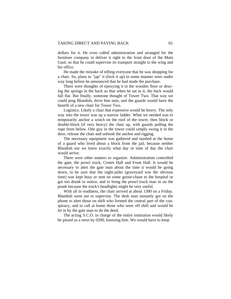dollars for it. He even called administration and arranged for the furniture company to deliver it right to the front door of the Main Gaol, so that he could supervise its transport straight to the wing and his office.

He made the mistake of telling everyone that he was shopping for a chair. So, plans to "jap" it (fuck it up) in some manner were under way long before he announced that he had made the purchase.

There were thoughts of epoxying it to the wooden floor or deucing the springs in the back so that when he sat in it, the back would fall flat. But finally, someone thought of Tower Two. That way we could ping Blandish, drive him nuts, and the guards would have the benefit of a new chair for Tower Two.

Logistics. Likely a chair that expensive would be heavy. The only way into the tower was up a narrow ladder. What we needed was to temporarily anchor a winch on the roof of the tower, then block or double-block (if very heavy) the chair up, with guards pulling the rope from below. One guy in the tower could simply swing it in the door, release the chair and unhook the anchor and rigging.

The necessary equipment was gathered and stashed at the home of a guard who lived about a block from the jail, because neither Blandish nor we knew exactly what day or time of day the chair would arrive.

There were other matters to organize. Administration controlled the gate, the prowl truck, Centre Hall and Front Hall. It would be necessary to alert the gate man about the time it would be going down, to be sure that the night-jailer (graveyard was the obvious time) was kept busy or sent on some goose-chase to the hospital or got too drunk to notice, and to bring the prowl truck man in on the prank because the truck's headlights might be very useful.

With all in readiness, the chair arrived at about 1300 on a Friday. Blandish went out to supervise. The desk man instantly got on the phone to alert those on shift who formed the central part of the conspiracy, and to call at home those who were off shift and would be let in by the gate man to do the deed.

The acting S.C.O. in charge of the entire institution would likely be pissed as a newt by 0200, knowing him. We would have to keep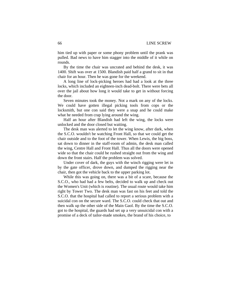him tied up with paper or some phony problem until the prank was pulled. Bad news to have him stagger into the middle of it while on rounds.

By the time the chair was uncrated and behind the desk, it was 1400. Shift was over at 1500. Blandish paid half a grand to sit in that chair for an hour. Then he was gone for the weekend.

A long line of lock-picking heroes had had a look at the three locks, which included an eighteen-inch dead-bolt. There were bets all over the jail about how long it would take to get in without forcing the door.

Seven minutes took the money. Not a mark on any of the locks. We could have gotten illegal picking tools from cops or the locksmith, but one con said they were a snap and he could make what he needed from crap lying around the wing.

Half an hour after Blandish had left the wing, the locks were unlocked and the door closed but waiting.

The desk man was alerted to let the wing know, after dark, when the S.C.O. wouldn't be watching Front Hall, so that we could get the chair outside and to the foot of the tower. When Lewis, the big boss, sat down to dinner in the staff-room of admin, the desk man called the wing, Centre Hall and Front Hall. Thus all the doors were opened wide so that the chair could be rushed straight out from the wing and down the front stairs. Half the problem was solved.

Under cover of dark, the guys with the winch rigging were let in by the gate officer, drove down, and dumped the rigging near the chair, then got the vehicle back to the upper parking lot.

While this was going on, there was a bit of a scare, because the S.C.O., who had had a few belts, decided to walk up and check out the Women's Unit (which is routine). The usual route would take him right by Tower Two. The desk man was fast on his feet and told the S.C.O. that the hospital had called to report a serious problem with a suicidal con on the secure ward. The S.C.O. could check that out and then walk up the other side of the Main Gaol. By the time the S.C.O. got to the hospital, the guards had set up a very unsuicidal con with a promise of a deck of tailor-made smokes, the brand of his choice, to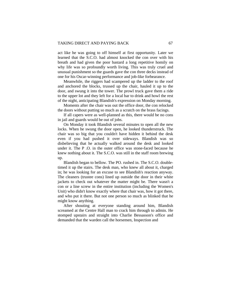act like he was going to off himself at first opportunity. Later we learned that the S.C.O. had almost knocked the con over with his breath and had given the poor bastard a long repetitive homily on why life was so profoundly worth living. This was truly cruel and unusual punishment so the guards gave the con three decks instead of one for his Oscar-winning performance and job-like forbearance.

Meanwhile, the riggers had scampered up the ladder to the roof and anchored the blocks, trussed up the chair, hauled it up to the door, and swung it into the tower. The prowl truck gave them a ride to the upper lot and they left for a local bar to drink and howl the rest of the night, anticipating Blandish's expression on Monday morning.

Moments after the chair was out the office door, the con relocked the doors without putting so much as a scratch on the brass facings.

If all capers were as well-planned as this, there would be no cons in jail and guards would be out of jobs.

 On Monday it took Blandish several minutes to open all the new locks. When he swung the door open, he looked thunderstruck. The chair was so big that you couldn't have hidden it behind the desk even if you had pushed it over sideways. Blandish was so disbelieving that he actually walked around the desk and looked under it. The P .O. in the outer office was stone-faced because he knew nothing about it. The S.C.O. was still in the staff room brewing up.

Blandish began to bellow. The PO. rushed in. The S.C.O. doubletimed it up the stairs. The desk man, who knew all about it, charged in; he was looking for an excuse to see Blandish's reaction anyway. The cleaners (trustee cons) lined up outside the door in their white jackets to check out whatever the matter might be. There wasn't a con or a line screw in the entire institution (including the Women's Unit) who didn't know exactly where that chair was, how it got there, and who put it there. But not one person so much as blinked that he might know anything.

After shouting at everyone standing around him, Blandish screamed at the Centre Hall man to crack him through to admin. He stomped upstairs and straight into Charlie Bessasson's office and demanded that the warden call the horsemen, Inspection and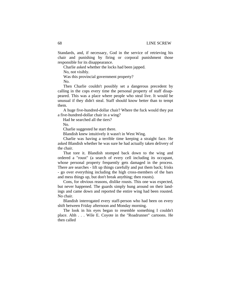Standards, and, if necessary, God in the service of retrieving his chair and punishing by firing or corporal punishment those responsible for its disappearance.

Charlie asked whether the locks had been japped.

No, not visibly.

Was this provincial government property?

No.

Then Charlie couldn't possibly set a dangerous precedent by calling in the cops every time the personal property of staff disappeared. This was a place where people who steal live. It would be unusual if they didn't steal. Staff should know better than to tempt them.

A huge five-hundred-dollar chair? Where the fuck would they put a five-hundred-dollar chair in a wing?

Had he searched all the tiers?

No.

Charlie suggested he start there.

Blandish knew intuitively it wasn't in West Wing.

Charlie was having a terrible time keeping a straight face. He asked Blandish whether he was sure he had actually taken delivery of the chair.

That tore it. Blandish stomped back down to the wing and ordered a "roust" (a search of every cell including its occupant, whose personal property frequently gets damaged in the process. There are searches - lift up things carefully and put them back; frisks - go over everything including the high cross-members of the bars and mess things up, but don't break anything; then rousts).

Cons, for obvious reasons, dislike rousts. This one was expected, but never happened. The guards simply hung around on their landings and came down and reported the entire wing had been rousted. No chair.

Blandish interrogated every staff-person who had been on every shift between Friday afternoon and Monday morning.

The look in his eyes began to resemble something I couldn't place. Ahh . . . Wile E. Coyote in the "Roadrunner" cartoons. He then called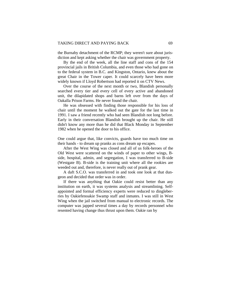the Burnaby detachment of the RCMP; they weren't sure about jurisdiction and kept asking whether the chair was government property.

By the end of the week, all the line staff and cons of the 154 provincial jails in British Columbia, and even those who had gone on to the federal system in B.C. and Kingston, Ontario, knew about the great Chair in the Tower caper. It could scarcely have been more widely known if Lloyd Robertson had reported it on CTV News.

Over the course of the next month or two, Blandish personally searched every tier and every cell of every active and abandoned unit, the dilapidated shops and barns left over from the days of Oakalla Prison Farms. He never found the chair.

He was obsessed with finding those responsible for his loss of chair until the moment he walked out the gate for the last time in 1991. I saw a friend recently who had seen Blandish not long before. Early in their conversation Blandish brought up the chair. He still didn't know any more than he did that Black Monday in September 1982 when he opened the door to his office.

One could argue that, like convicts, guards have too much time on their hands - to dream up pranks as cons dream up escapes.

After the West Wing was closed and all of us folk-heroes of the Old West were scattered on the winds of paper to other wings, Bside, hospital, admin, and segregation, I was transferred to B-side (Westgate B). B-side is the training unit where all the rookies are weeded out and, therefore, is never really out of prank gear.

A daft S.C.O. was transferred in and took one look at that dungeon and decided that order was in order.

If there was anything that Oakie could resist better than any institution on earth, it was systems analysis and streamlining. Selfappointed and formal efficiency experts were reduced to dingleberries by Oakiefenoakie Swamp staff and inmates. I was still in West Wing when the jail switched from manual to electronic records. The computer was japped several times a day by records personnel who resented having change thus thrust upon them. Oakie ran by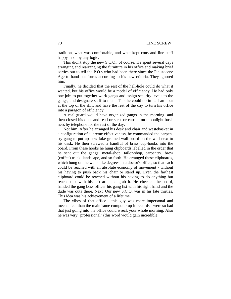tradition, what was comfortable, and what kept cons and line staff happy - not by any logic.

This didn't stop the new S.C.O., of course. He spent several days arranging and rearranging the furniture in his office and making brief sorties out to tell the P.O.s who had been there since the Pleistocene Age to hand out forms according to his new criteria. They ignored him.

Finally, he decided that the rest of the hell-hole could do what it wanted, but his office would be a model of efficiency. He had only one job: to put together work-gangs and assign security levels to the gangs, and designate staff to them. This he could do in half an hour at the top of the shift and have the rest of the day to turn his office into a paragon of efficiency.

A real guard would have organized gangs in the morning, and then closed his door and read or slept or carried on moonlight business by telephone for the rest of the day.

Not him. After he arranged his desk and chair and wastebasket in a configuration of supreme effectiveness, he commanded the carpentry gang to put up new fake-grained wall-board on the wall next to his desk. He then screwed a handful of brass cup-hooks into the board. From these hooks he hung clipboards labelled in the order that he sent out the gangs: metal-shop, tailor-shop, carpentry, brew (coffee) truck, landscape, and so forth. He arranged these clipboards, which hung on the walls like degrees in a doctor's office, so that each could be reached with an absolute economy of movement - without his having to push back his chair or stand up. Even the farthest clipboard could be reached without his having to do anything but reach back with his left arm and grab it. He checked the board, handed the gang boss officer his gang list with his right hand and the dude was outa there. Next. Our new S.C.O. was in his late thirties. This idea was his achievement of a lifetime.

The vibes of that office - this guy was more impersonal and mechanical than the mainframe computer up in records - were so bad that just going into the office could wreck your whole morning. Also he was very "professional" (this word would gain incredible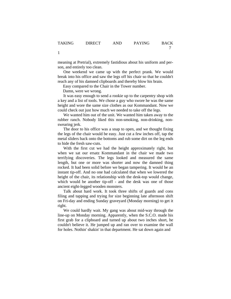meaning at Pretrial), extremely fastidious about his uniform and person, and entirely too clean.

One weekend we came up with the perfect prank. We would break into his office and saw the legs off his chair so that he couldn't reach any of his damned clipboards and thereby blow his brain.

Easy compared to the Chair in the Tower number.

Damn, were we wrong.

It was easy enough to send a rookie up to the carpentry shop with a key and a list of tools. We chose a guy who swore he was the same height and wore the same size clothes as our Kommandant. Now we could check out just how much we needed to take off the legs.

We wanted him out of the unit. We wanted him taken away to the rubber ranch. Nobody liked this non-smoking, non-drinking, nonswearing jerk.

The door to his office was a snap to open, and we thought fixing the legs of the chair would be easy. Just cut a few inches off, tap the metal sliders back onto the bottoms and rub some dirt on the leg ends to hide the fresh saw-cuts.

With the first cut we had the height approximately right, but when we sat our ersatz Kommandant in the chair we made two terrifying discoveries. The legs looked and measured the same length, but one or more was shorter and now the damned thing rocked. It had been solid before we began tampering. It would be an instant tip-off. And no one had calculated that when we lowered the height of the chair, its relationship with the desk-top would change, which would be another tip-off - and the desk was one of those ancient eight-legged wooden monsters.

Talk about hard work. It took three shifts of guards and cons filing and tapping and trying for size beginning late afternoon shift on Fri-day and ending Sunday graveyard (Monday morning) to get it right.

We could hardly wait. My gang was about mid-way through the line-up on Monday morning. Apparently, when the S.C.O. made his first grab for a clipboard and turned up about two inches short, he couldn't believe it. He jumped up and ran over to examine the wall for holes. Nothin' shakin' in that department. He sat down again and

1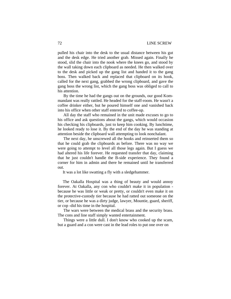pulled his chair into the desk to the usual distance between his gut and the desk edge. He tried another grab. Missed again. Finally he stood, slid the chair into the nook where the knees go, and stood by the wall taking down each clipboard as needed. He then walked over to the desk and picked up the gang list and handed it to the gang boss. Then walked back and replaced that clipboard on its hook, called for the next gang, grabbed the wrong clipboard, and gave the gang boss the wrong list, which the gang boss was obliged to call to his attention.

By the time he had the gangs out on the grounds, our good Kommandant was really rattled. He headed for the staff-room. He wasn't a coffee drinker either, but he poured himself one and vanished back into his office when other staff entered to coffee-up.

All day the staff who remained in the unit made excuses to go to his office and ask questions about the gangs, which would occasion his checking his clipboards, just to keep him cooking. By lunchtime, he looked ready to lose it. By the end of the day he was standing at attention beside the clipboard wall attempting to look nonchalant.

The next day, he unscrewed all the hooks and reinserted them so that he could grab the clipboards as before. There was no way we were going to attempt to level all those legs again. But I guess we had altered his life forever. He requested transfer that day, claiming that he just couldn't handle the B-side experience. They found a corner for him in admin and there he remained until he transferred out.

It was a lot like swatting a fly with a sledgehammer.

The Oakalla Hospital was a thing of beauty and would annoy forever. At Oakalla, any con who couldn't make it in population because he was little or weak or pretty, or couldn't even make it on the protective-custody tier because he had ratted out someone on the tier, or because he was a dirty judge, lawyer, Mountie, guard, sheriff, or cop -did his time in the hospital.

The wars were between the medical brass and the security brass. The cons and line staff simply wanted entertainment.

Things were a little dull. I don't know who cooked up the scam, but a guard and a con were cast in the lead roles to put one over on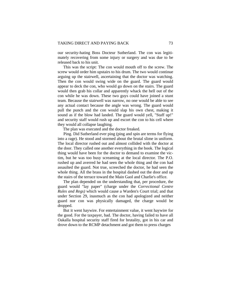our security-hating Boss Docteur Sutherland. The con was legitimately recovering from some injury or surgery and was due to be released back to his unit.

This was the script: The con would mouth off to the screw. The screw would order him upstairs to his drum. The two would continue arguing up the stairwell, ascertaining that the doctor was watching. Then the con would swing wide on the guard. The guard would appear to deck the con, who would go down on the stairs. The guard would then grab his collar and apparently whack the hell out of the con while he was down. These two guys could have joined a stunt team. Because the stairwell was narrow, no one would be able to see any actual contact because the angle was wrong. The guard would pull the punch and the con would slap his own chest, making it sound as if the blow had landed. The guard would yell, "Staff up!" and security staff would rush up and escort the con to his cell where they would all collapse laughing.

The plan was executed and the doctor freaked.

 Ping. Did Sutherland ever ping (ping and spin are terms for flying into a rage). He stood and stormed about the brutal slime in uniform. The local director rushed out and almost collided with the doctor at the door. They called one another everything in the book. The logical thing would have been for the doctor to demand to examine the victim, but he was too busy screaming at the local director. The P.O. rushed up and averred he had seen the whole thing and the con had assaulted the guard. Not true, screeched the doctor, he had seen the whole thing. All the brass in the hospital dashed out the door and up the stairs of the terrace toward the Main Gaol and Charlie's office.

The plan depended on the understanding that, per procedure, the guard would "lay paper" (charge under the *Correctional Centre Rules and Regs)* which would cause a Warden's Court trial; and that under Section 29, inasmuch as the con had apologized and neither guard nor con was physically damaged, the charge would be dropped.

But it went haywire. For entertainment value, it went haywire for the good. For the taxpayer, bad. The doctor, having failed to have all Oakalla hospital security staff fired for brutality, got in his car and drove down to the RCMP detachment and got them to press charges